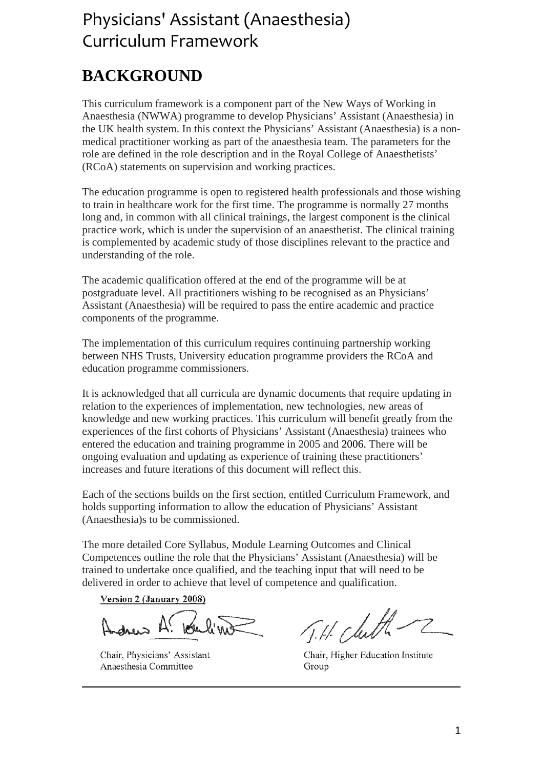# Physicians' Assistant (Anaesthesia) Curriculum Framework

# **BACKGROUND**

This curriculum framework is a component part of the New Ways of Working in Anaesthesia (NWWA) programme to develop Physicians' Assistant (Anaesthesia) in the UK health system. In this context the Physicians' Assistant (Anaesthesia) is a nonmedical practitioner working as part of the anaesthesia team. The parameters for the role are defined in the role description and in the Royal College of Anaesthetists' (RCoA) statements on supervision and working practices.

The education programme is open to registered health professionals and those wishing to train in healthcare work for the first time. The programme is normally 27 months long and, in common with all clinical trainings, the largest component is the clinical practice work, which is under the supervision of an anaesthetist. The clinical training is complemented by academic study of those disciplines relevant to the practice and understanding of the role.

The academic qualification offered at the end of the programme will be at postgraduate level. All practitioners wishing to be recognised as an Physicians' Assistant (Anaesthesia) will be required to pass the entire academic and practice components of the programme.

The implementation of this curriculum requires continuing partnership working between NHS Trusts, University education programme providers the RCoA and education programme commissioners.

It is acknowledged that all curricula are dynamic documents that require updating in relation to the experiences of implementation, new technologies, new areas of knowledge and new working practices. This curriculum will benefit greatly from the experiences of the first cohorts of Physicians' Assistant (Anaesthesia) trainees who entered the education and training programme in 2005 and 2006. There will be ongoing evaluation and updating as experience of training these practitioners' increases and future iterations of this document will reflect this.

Each of the sections builds on the first section, entitled Curriculum Framework, and holds supporting information to allow the education of Physicians' Assistant (Anaesthesia)s to be commissioned.

The more detailed Core Syllabus, Module Learning Outcomes and Clinical Competences outline the role that the Physicians' Assistant (Anaesthesia) will be trained to undertake once qualified, and the teaching input that will need to be delivered in order to achieve that level of competence and qualification.

Version 2 (January 2008)

drew A. Ke

Chair, Physicians' Assistant Anaesthesia Committee

J.H. Chith-

Chair, Higher Education Institute Group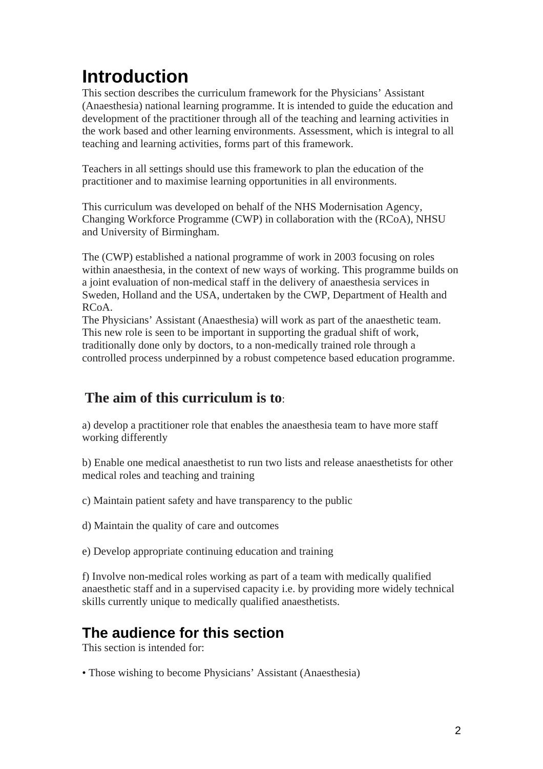# **Introduction**

This section describes the curriculum framework for the Physicians' Assistant (Anaesthesia) national learning programme. It is intended to guide the education and development of the practitioner through all of the teaching and learning activities in the work based and other learning environments. Assessment, which is integral to all teaching and learning activities, forms part of this framework.

Teachers in all settings should use this framework to plan the education of the practitioner and to maximise learning opportunities in all environments.

This curriculum was developed on behalf of the NHS Modernisation Agency, Changing Workforce Programme (CWP) in collaboration with the (RCoA), NHSU and University of Birmingham.

The (CWP) established a national programme of work in 2003 focusing on roles within anaesthesia, in the context of new ways of working. This programme builds on a joint evaluation of non-medical staff in the delivery of anaesthesia services in Sweden, Holland and the USA, undertaken by the CWP, Department of Health and  $RCA$ 

The Physicians' Assistant (Anaesthesia) will work as part of the anaesthetic team. This new role is seen to be important in supporting the gradual shift of work, traditionally done only by doctors, to a non-medically trained role through a controlled process underpinned by a robust competence based education programme.

# **The aim of this curriculum is to**:

a) develop a practitioner role that enables the anaesthesia team to have more staff working differently

b) Enable one medical anaesthetist to run two lists and release anaesthetists for other medical roles and teaching and training

c) Maintain patient safety and have transparency to the public

d) Maintain the quality of care and outcomes

e) Develop appropriate continuing education and training

f) Involve non-medical roles working as part of a team with medically qualified anaesthetic staff and in a supervised capacity i.e. by providing more widely technical skills currently unique to medically qualified anaesthetists.

# **The audience for this section**

This section is intended for:

• Those wishing to become Physicians' Assistant (Anaesthesia)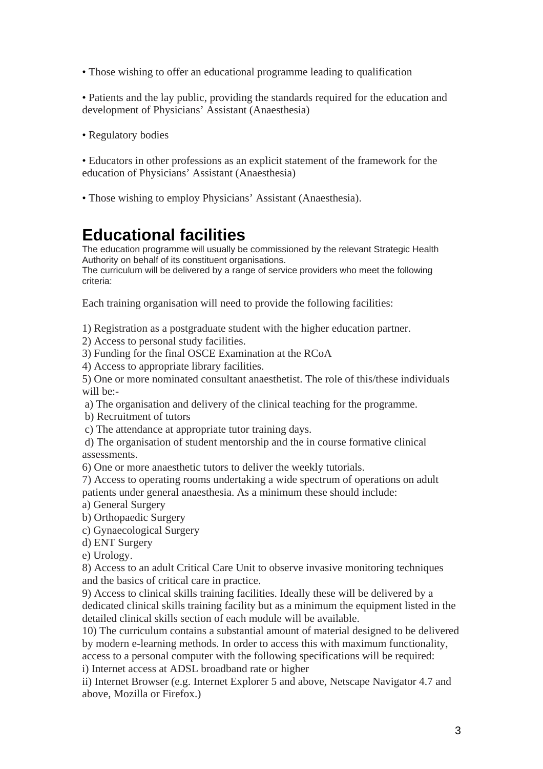• Those wishing to offer an educational programme leading to qualification

• Patients and the lay public, providing the standards required for the education and development of Physicians' Assistant (Anaesthesia)

• Regulatory bodies

• Educators in other professions as an explicit statement of the framework for the education of Physicians' Assistant (Anaesthesia)

• Those wishing to employ Physicians' Assistant (Anaesthesia).

# **Educational facilities**

The education programme will usually be commissioned by the relevant Strategic Health Authority on behalf of its constituent organisations.

The curriculum will be delivered by a range of service providers who meet the following criteria:

Each training organisation will need to provide the following facilities:

1) Registration as a postgraduate student with the higher education partner.

- 2) Access to personal study facilities.
- 3) Funding for the final OSCE Examination at the RCoA
- 4) Access to appropriate library facilities.

5) One or more nominated consultant anaesthetist. The role of this/these individuals will be:-

- a) The organisation and delivery of the clinical teaching for the programme.
- b) Recruitment of tutors
- c) The attendance at appropriate tutor training days.

 d) The organisation of student mentorship and the in course formative clinical assessments.

6) One or more anaesthetic tutors to deliver the weekly tutorials.

7) Access to operating rooms undertaking a wide spectrum of operations on adult patients under general anaesthesia. As a minimum these should include:

- a) General Surgery
- b) Orthopaedic Surgery
- c) Gynaecological Surgery
- d) ENT Surgery
- e) Urology.

8) Access to an adult Critical Care Unit to observe invasive monitoring techniques and the basics of critical care in practice.

9) Access to clinical skills training facilities. Ideally these will be delivered by a dedicated clinical skills training facility but as a minimum the equipment listed in the detailed clinical skills section of each module will be available.

10) The curriculum contains a substantial amount of material designed to be delivered by modern e-learning methods. In order to access this with maximum functionality, access to a personal computer with the following specifications will be required: i) Internet access at ADSL broadband rate or higher

ii) Internet Browser (e.g. Internet Explorer 5 and above, Netscape Navigator 4.7 and above, Mozilla or Firefox.)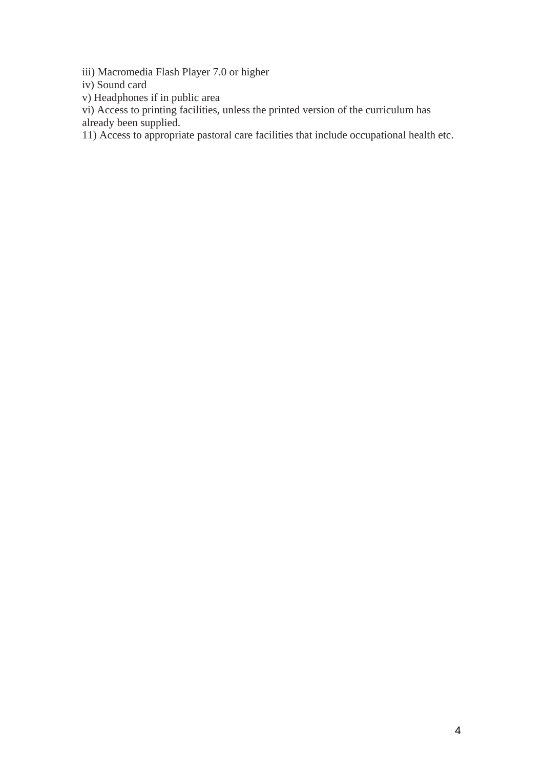iii) Macromedia Flash Player 7.0 or higher

iv) Sound card

v) Headphones if in public area

vi) Access to printing facilities, unless the printed version of the curriculum has

already been supplied.

11) Access to appropriate pastoral care facilities that include occupational health etc.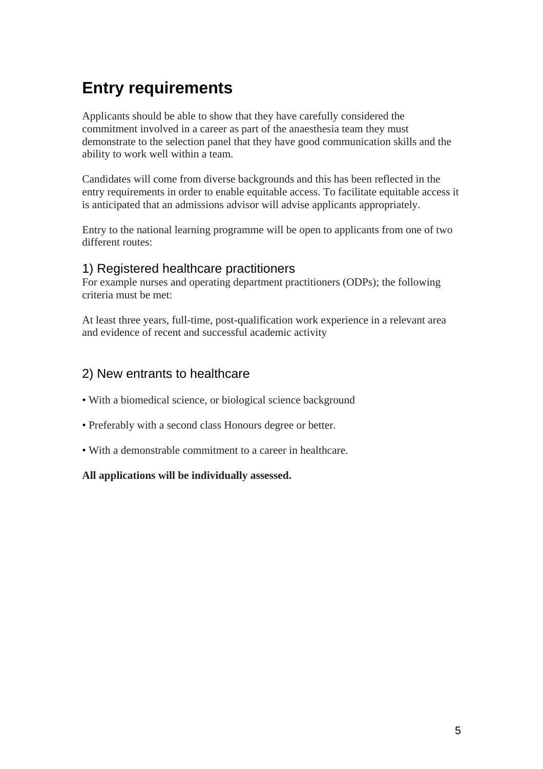# **Entry requirements**

Applicants should be able to show that they have carefully considered the commitment involved in a career as part of the anaesthesia team they must demonstrate to the selection panel that they have good communication skills and the ability to work well within a team.

Candidates will come from diverse backgrounds and this has been reflected in the entry requirements in order to enable equitable access. To facilitate equitable access it is anticipated that an admissions advisor will advise applicants appropriately.

Entry to the national learning programme will be open to applicants from one of two different routes:

## 1) Registered healthcare practitioners

For example nurses and operating department practitioners (ODPs); the following criteria must be met:

At least three years, full-time, post-qualification work experience in a relevant area and evidence of recent and successful academic activity

## 2) New entrants to healthcare

- With a biomedical science, or biological science background
- Preferably with a second class Honours degree or better.
- With a demonstrable commitment to a career in healthcare.

## **All applications will be individually assessed.**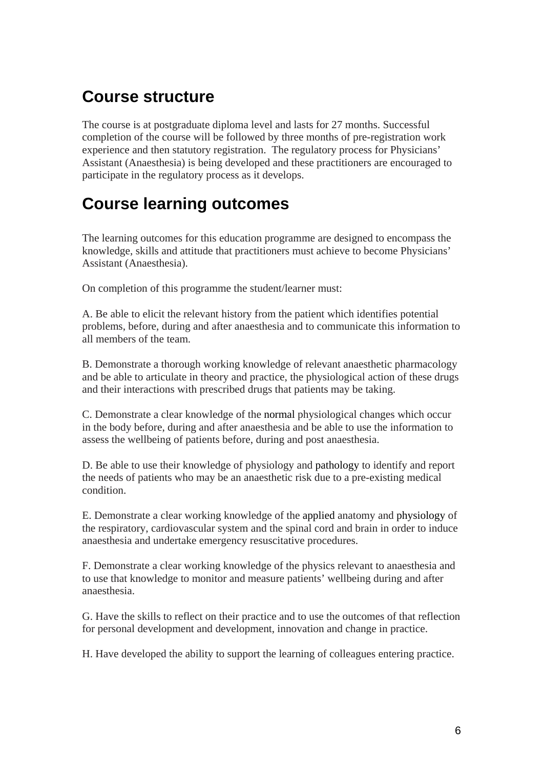# **Course structure**

The course is at postgraduate diploma level and lasts for 27 months. Successful completion of the course will be followed by three months of pre-registration work experience and then statutory registration. The regulatory process for Physicians' Assistant (Anaesthesia) is being developed and these practitioners are encouraged to participate in the regulatory process as it develops.

# **Course learning outcomes**

The learning outcomes for this education programme are designed to encompass the knowledge, skills and attitude that practitioners must achieve to become Physicians' Assistant (Anaesthesia).

On completion of this programme the student/learner must:

A. Be able to elicit the relevant history from the patient which identifies potential problems, before, during and after anaesthesia and to communicate this information to all members of the team.

B. Demonstrate a thorough working knowledge of relevant anaesthetic pharmacology and be able to articulate in theory and practice, the physiological action of these drugs and their interactions with prescribed drugs that patients may be taking.

C. Demonstrate a clear knowledge of the normal physiological changes which occur in the body before, during and after anaesthesia and be able to use the information to assess the wellbeing of patients before, during and post anaesthesia.

D. Be able to use their knowledge of physiology and pathology to identify and report the needs of patients who may be an anaesthetic risk due to a pre-existing medical condition.

E. Demonstrate a clear working knowledge of the applied anatomy and physiology of the respiratory, cardiovascular system and the spinal cord and brain in order to induce anaesthesia and undertake emergency resuscitative procedures.

F. Demonstrate a clear working knowledge of the physics relevant to anaesthesia and to use that knowledge to monitor and measure patients' wellbeing during and after anaesthesia.

G. Have the skills to reflect on their practice and to use the outcomes of that reflection for personal development and development, innovation and change in practice.

H. Have developed the ability to support the learning of colleagues entering practice.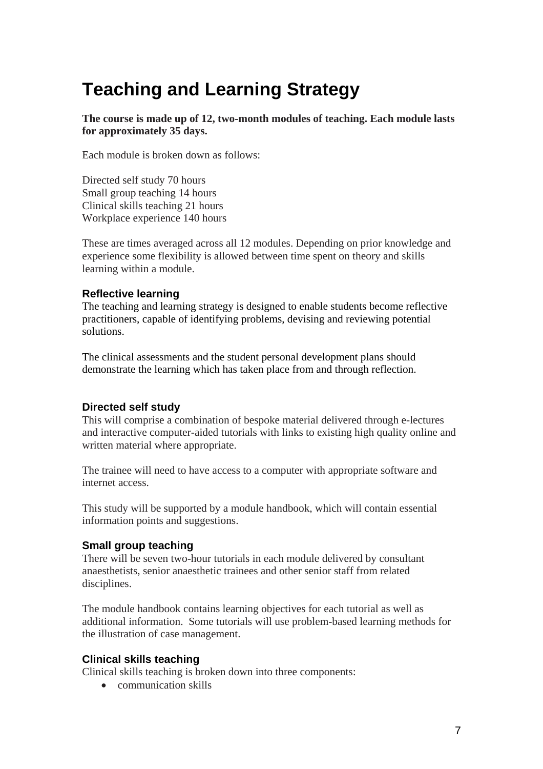# **Teaching and Learning Strategy**

**The course is made up of 12, two-month modules of teaching. Each module lasts for approximately 35 days.** 

Each module is broken down as follows:

Directed self study 70 hours Small group teaching 14 hours Clinical skills teaching 21 hours Workplace experience 140 hours

These are times averaged across all 12 modules. Depending on prior knowledge and experience some flexibility is allowed between time spent on theory and skills learning within a module.

## **Reflective learning**

The teaching and learning strategy is designed to enable students become reflective practitioners, capable of identifying problems, devising and reviewing potential solutions.

The clinical assessments and the student personal development plans should demonstrate the learning which has taken place from and through reflection.

## **Directed self study**

This will comprise a combination of bespoke material delivered through e-lectures and interactive computer-aided tutorials with links to existing high quality online and written material where appropriate.

The trainee will need to have access to a computer with appropriate software and internet access.

This study will be supported by a module handbook, which will contain essential information points and suggestions.

## **Small group teaching**

There will be seven two-hour tutorials in each module delivered by consultant anaesthetists, senior anaesthetic trainees and other senior staff from related disciplines.

The module handbook contains learning objectives for each tutorial as well as additional information. Some tutorials will use problem-based learning methods for the illustration of case management.

## **Clinical skills teaching**

Clinical skills teaching is broken down into three components:

• communication skills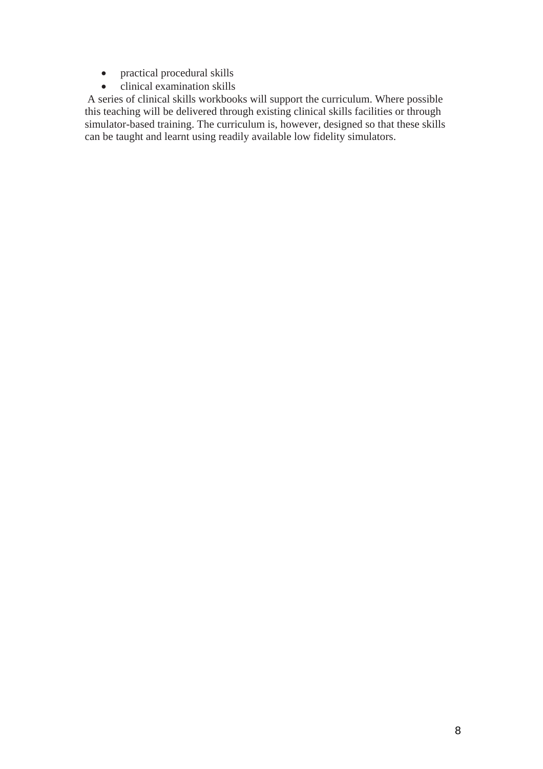- practical procedural skills
- clinical examination skills

 A series of clinical skills workbooks will support the curriculum. Where possible this teaching will be delivered through existing clinical skills facilities or through simulator-based training. The curriculum is, however, designed so that these skills can be taught and learnt using readily available low fidelity simulators.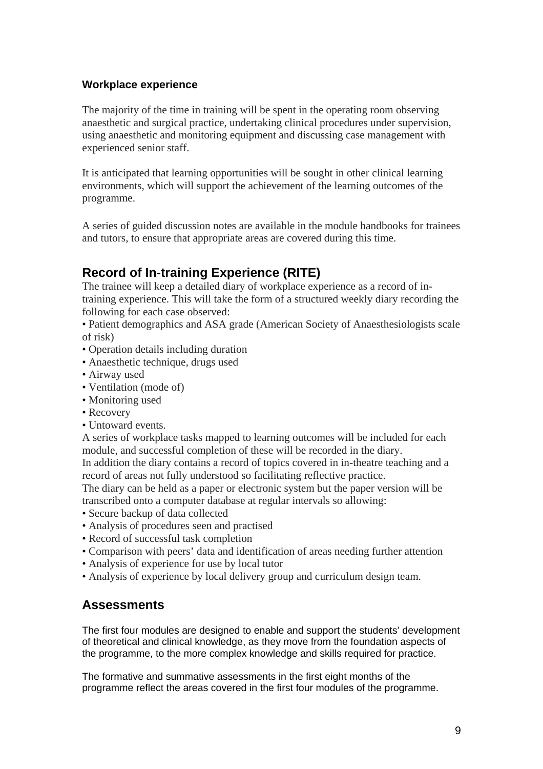## **Workplace experience**

The majority of the time in training will be spent in the operating room observing anaesthetic and surgical practice, undertaking clinical procedures under supervision, using anaesthetic and monitoring equipment and discussing case management with experienced senior staff.

It is anticipated that learning opportunities will be sought in other clinical learning environments, which will support the achievement of the learning outcomes of the programme.

A series of guided discussion notes are available in the module handbooks for trainees and tutors, to ensure that appropriate areas are covered during this time.

# **Record of In-training Experience (RITE)**

The trainee will keep a detailed diary of workplace experience as a record of intraining experience. This will take the form of a structured weekly diary recording the following for each case observed:

• Patient demographics and ASA grade (American Society of Anaesthesiologists scale of risk)

- Operation details including duration
- Anaesthetic technique, drugs used
- Airway used
- Ventilation (mode of)
- Monitoring used
- Recovery
- Untoward events.

A series of workplace tasks mapped to learning outcomes will be included for each module, and successful completion of these will be recorded in the diary.

In addition the diary contains a record of topics covered in in-theatre teaching and a record of areas not fully understood so facilitating reflective practice.

The diary can be held as a paper or electronic system but the paper version will be transcribed onto a computer database at regular intervals so allowing:

- Secure backup of data collected
- Analysis of procedures seen and practised
- Record of successful task completion
- Comparison with peers' data and identification of areas needing further attention
- Analysis of experience for use by local tutor
- Analysis of experience by local delivery group and curriculum design team.

## **Assessments**

The first four modules are designed to enable and support the students' development of theoretical and clinical knowledge, as they move from the foundation aspects of the programme, to the more complex knowledge and skills required for practice.

The formative and summative assessments in the first eight months of the programme reflect the areas covered in the first four modules of the programme.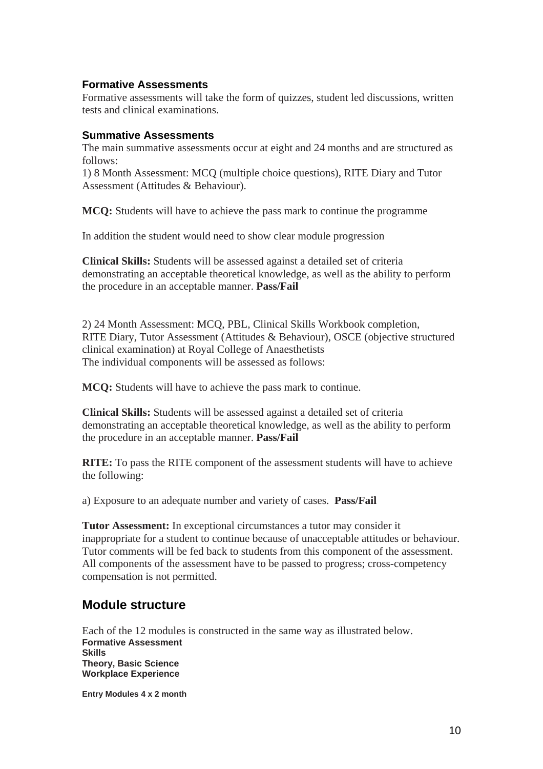## **Formative Assessments**

Formative assessments will take the form of quizzes, student led discussions, written tests and clinical examinations.

## **Summative Assessments**

The main summative assessments occur at eight and 24 months and are structured as follows:

1) 8 Month Assessment: MCQ (multiple choice questions), RITE Diary and Tutor Assessment (Attitudes & Behaviour).

**MCQ:** Students will have to achieve the pass mark to continue the programme

In addition the student would need to show clear module progression

**Clinical Skills:** Students will be assessed against a detailed set of criteria demonstrating an acceptable theoretical knowledge, as well as the ability to perform the procedure in an acceptable manner. **Pass/Fail**

2) 24 Month Assessment: MCQ, PBL, Clinical Skills Workbook completion, RITE Diary, Tutor Assessment (Attitudes & Behaviour), OSCE (objective structured clinical examination) at Royal College of Anaesthetists The individual components will be assessed as follows:

**MCQ:** Students will have to achieve the pass mark to continue.

**Clinical Skills:** Students will be assessed against a detailed set of criteria demonstrating an acceptable theoretical knowledge, as well as the ability to perform the procedure in an acceptable manner. **Pass/Fail**

**RITE:** To pass the RITE component of the assessment students will have to achieve the following:

a) Exposure to an adequate number and variety of cases. **Pass/Fail** 

**Tutor Assessment:** In exceptional circumstances a tutor may consider it inappropriate for a student to continue because of unacceptable attitudes or behaviour. Tutor comments will be fed back to students from this component of the assessment. All components of the assessment have to be passed to progress; cross-competency compensation is not permitted.

## **Module structure**

Each of the 12 modules is constructed in the same way as illustrated below. **Formative Assessment Skills Theory, Basic Science Workplace Experience** 

**Entry Modules 4 x 2 month**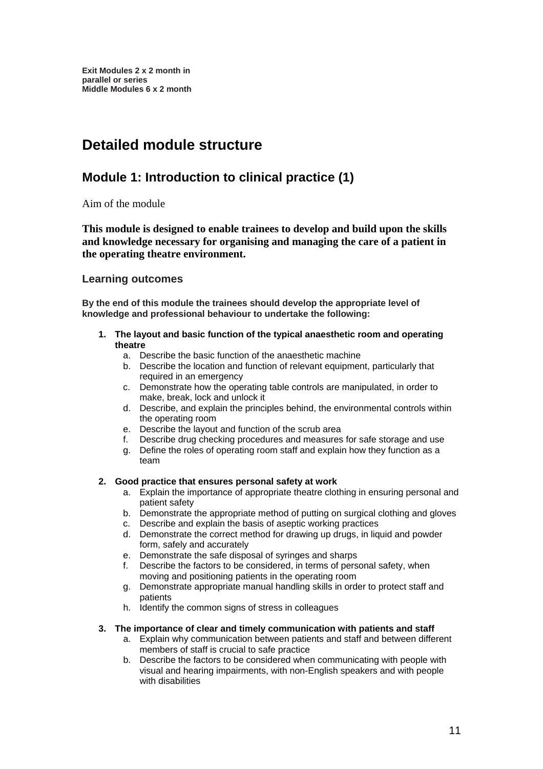# **Detailed module structure**

# **Module 1: Introduction to clinical practice (1)**

Aim of the module

**This module is designed to enable trainees to develop and build upon the skills and knowledge necessary for organising and managing the care of a patient in the operating theatre environment.** 

## **Learning outcomes**

**By the end of this module the trainees should develop the appropriate level of knowledge and professional behaviour to undertake the following:** 

#### **1. The layout and basic function of the typical anaesthetic room and operating theatre**

- a. Describe the basic function of the anaesthetic machine
- b. Describe the location and function of relevant equipment, particularly that required in an emergency
- c. Demonstrate how the operating table controls are manipulated, in order to make, break, lock and unlock it
- d. Describe, and explain the principles behind, the environmental controls within the operating room
- e. Describe the layout and function of the scrub area
- f. Describe drug checking procedures and measures for safe storage and use
- g. Define the roles of operating room staff and explain how they function as a team

#### **2. Good practice that ensures personal safety at work**

- a. Explain the importance of appropriate theatre clothing in ensuring personal and patient safety
- b. Demonstrate the appropriate method of putting on surgical clothing and gloves
- c. Describe and explain the basis of aseptic working practices
- d. Demonstrate the correct method for drawing up drugs, in liquid and powder form, safely and accurately
- e. Demonstrate the safe disposal of syringes and sharps
- f. Describe the factors to be considered, in terms of personal safety, when moving and positioning patients in the operating room
- g. Demonstrate appropriate manual handling skills in order to protect staff and patients
- h. Identify the common signs of stress in colleagues

#### **3. The importance of clear and timely communication with patients and staff**

- a. Explain why communication between patients and staff and between different members of staff is crucial to safe practice
- b. Describe the factors to be considered when communicating with people with visual and hearing impairments, with non-English speakers and with people with disabilities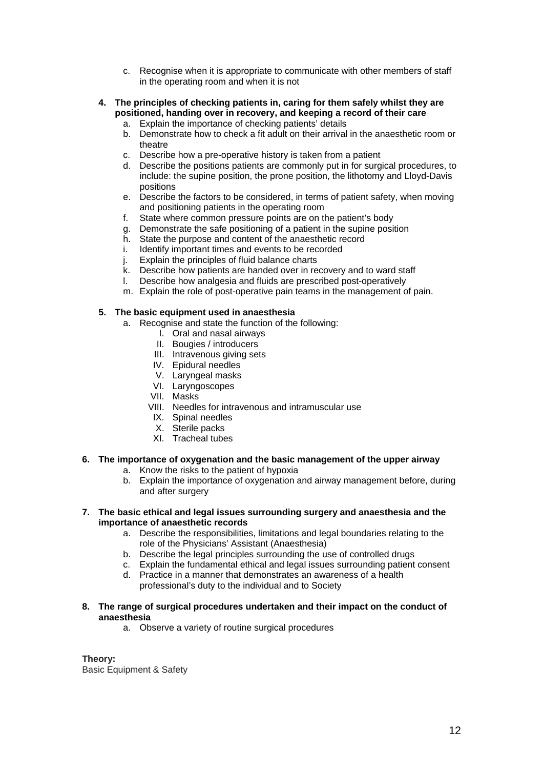- c. Recognise when it is appropriate to communicate with other members of staff in the operating room and when it is not
- **4. The principles of checking patients in, caring for them safely whilst they are positioned, handing over in recovery, and keeping a record of their care** 
	- a. Explain the importance of checking patients' details b. Demonstrate how to check a fit adult on their arrival in the anaesthetic room or theatre
	- c. Describe how a pre-operative history is taken from a patient
	- d. Describe the positions patients are commonly put in for surgical procedures, to include: the supine position, the prone position, the lithotomy and Lloyd-Davis positions
	- e. Describe the factors to be considered, in terms of patient safety, when moving and positioning patients in the operating room
	- f. State where common pressure points are on the patient's body
	- g. Demonstrate the safe positioning of a patient in the supine position
	- h. State the purpose and content of the anaesthetic record
	- i. Identify important times and events to be recorded
	- j. Explain the principles of fluid balance charts
	- k. Describe how patients are handed over in recovery and to ward staff<br>I. Describe how analgesia and fluids are prescribed post-operatively
	- Describe how analgesia and fluids are prescribed post-operatively
	- m. Explain the role of post-operative pain teams in the management of pain.

#### **5. The basic equipment used in anaesthesia**

- a. Recognise and state the function of the following:
	- I. Oral and nasal airways
	- II. Bougies / introducers
	- III. Intravenous giving sets
	- IV. Epidural needles
	- V. Laryngeal masks
	- VI. Laryngoscopes
	- VII. Masks
	- VIII. Needles for intravenous and intramuscular use
	- IX. Spinal needles
	- X. Sterile packs
	- XI. Tracheal tubes

## **6. The importance of oxygenation and the basic management of the upper airway**

- a. Know the risks to the patient of hypoxia
- b. Explain the importance of oxygenation and airway management before, during and after surgery

#### **7. The basic ethical and legal issues surrounding surgery and anaesthesia and the importance of anaesthetic records**

- a. Describe the responsibilities, limitations and legal boundaries relating to the role of the Physicians' Assistant (Anaesthesia)
- b. Describe the legal principles surrounding the use of controlled drugs
- c. Explain the fundamental ethical and legal issues surrounding patient consent
- d. Practice in a manner that demonstrates an awareness of a health professional's duty to the individual and to Society
- **8. The range of surgical procedures undertaken and their impact on the conduct of anaesthesia** 
	- a. Observe a variety of routine surgical procedures

#### **Theory:**

Basic Equipment & Safety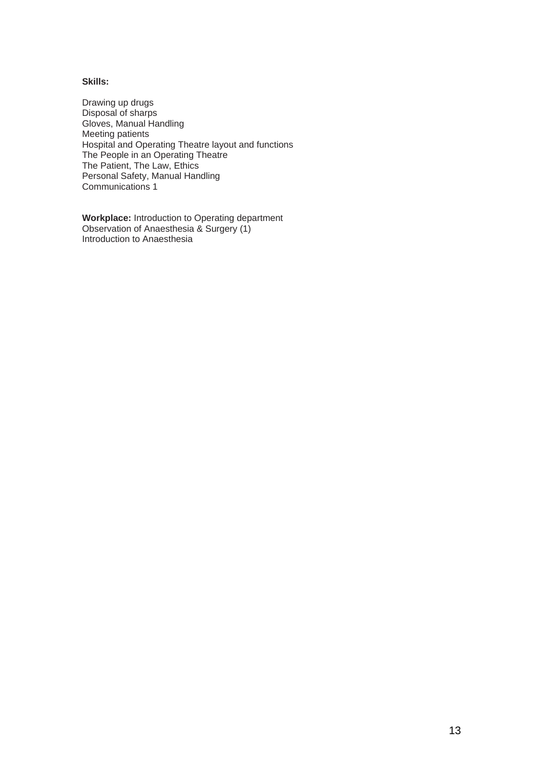#### **Skills:**

Drawing up drugs Disposal of sharps Gloves, Manual Handling Meeting patients Hospital and Operating Theatre layout and functions The People in an Operating Theatre The Patient, The Law, Ethics Personal Safety, Manual Handling Communications 1

**Workplace:** Introduction to Operating department Observation of Anaesthesia & Surgery (1) Introduction to Anaesthesia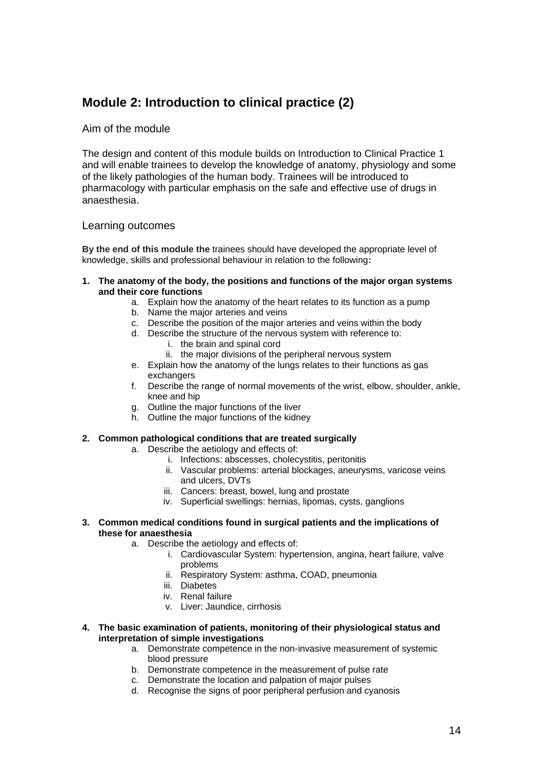# **Module 2: Introduction to clinical practice (2)**

### Aim of the module

The design and content of this module builds on Introduction to Clinical Practice 1 and will enable trainees to develop the knowledge of anatomy, physiology and some of the likely pathologies of the human body. Trainees will be introduced to pharmacology with particular emphasis on the safe and effective use of drugs in anaesthesia.

#### Learning outcomes

**By the end of this module the** trainees should have developed the appropriate level of knowledge, skills and professional behaviour in relation to the following**:**

- **1. The anatomy of the body, the positions and functions of the major organ systems and their core functions** 
	- a. Explain how the anatomy of the heart relates to its function as a pump
	- b. Name the major arteries and veins
	- c. Describe the position of the major arteries and veins within the body
	- d. Describe the structure of the nervous system with reference to: i. the brain and spinal cord
		- ii. the major divisions of the peripheral nervous system
	- e. Explain how the anatomy of the lungs relates to their functions as gas exchangers
	- f. Describe the range of normal movements of the wrist, elbow, shoulder, ankle, knee and hip
	- g. Outline the major functions of the liver
	- h. Outline the major functions of the kidney

#### **2. Common pathological conditions that are treated surgically**

- a. Describe the aetiology and effects of:
	- i. Infections: abscesses, cholecystitis, peritonitis
	- ii. Vascular problems: arterial blockages, aneurysms, varicose veins and ulcers, DVTs
	- iii. Cancers: breast, bowel, lung and prostate
	- iv. Superficial swellings: hernias, lipomas, cysts, ganglions
- **3. Common medical conditions found in surgical patients and the implications of these for anaesthesia** 
	- a. Describe the aetiology and effects of:
		- i. Cardiovascular System: hypertension, angina, heart failure, valve problems
		- ii. Respiratory System: asthma, COAD, pneumonia
		- iii. Diabetes
		- iv. Renal failure
		- v. Liver: Jaundice, cirrhosis
- **4. The basic examination of patients, monitoring of their physiological status and interpretation of simple investigations** 
	- a. Demonstrate competence in the non-invasive measurement of systemic blood pressure
	- b. Demonstrate competence in the measurement of pulse rate
	- c. Demonstrate the location and palpation of major pulses
	- d. Recognise the signs of poor peripheral perfusion and cyanosis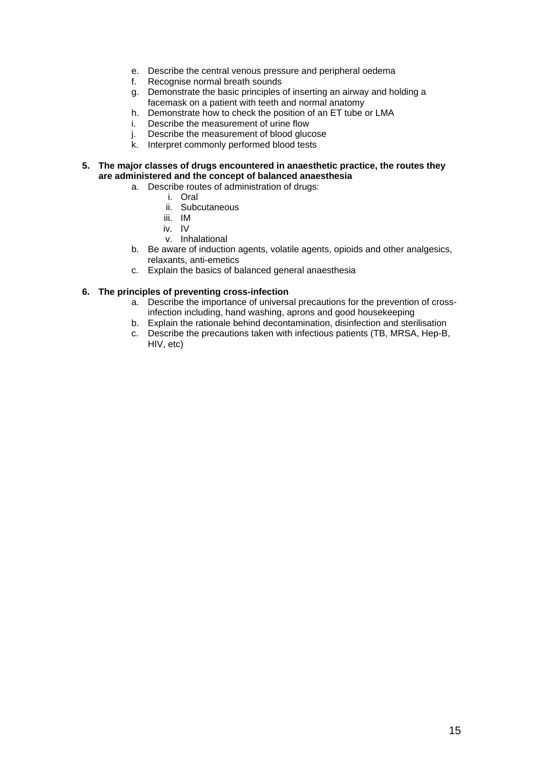- e. Describe the central venous pressure and peripheral oedema
- f. Recognise normal breath sounds
- g. Demonstrate the basic principles of inserting an airway and holding a facemask on a patient with teeth and normal anatomy
- h. Demonstrate how to check the position of an ET tube or LMA
- i. Describe the measurement of urine flow
- j. Describe the measurement of blood glucose
- k. Interpret commonly performed blood tests
- **5. The major classes of drugs encountered in anaesthetic practice, the routes they are administered and the concept of balanced anaesthesia** 
	- a. Describe routes of administration of drugs:
		- i. Oral
		- ii. Subcutaneous
		- iii. IM
		- iv. IV
		- v. Inhalational
	- b. Be aware of induction agents, volatile agents, opioids and other analgesics, relaxants, anti-emetics
	- c. Explain the basics of balanced general anaesthesia

#### **6. The principles of preventing cross-infection**

- a. Describe the importance of universal precautions for the prevention of crossinfection including, hand washing, aprons and good housekeeping
- b. Explain the rationale behind decontamination, disinfection and sterilisation
- c. Describe the precautions taken with infectious patients (TB, MRSA, Hep-B, HIV, etc)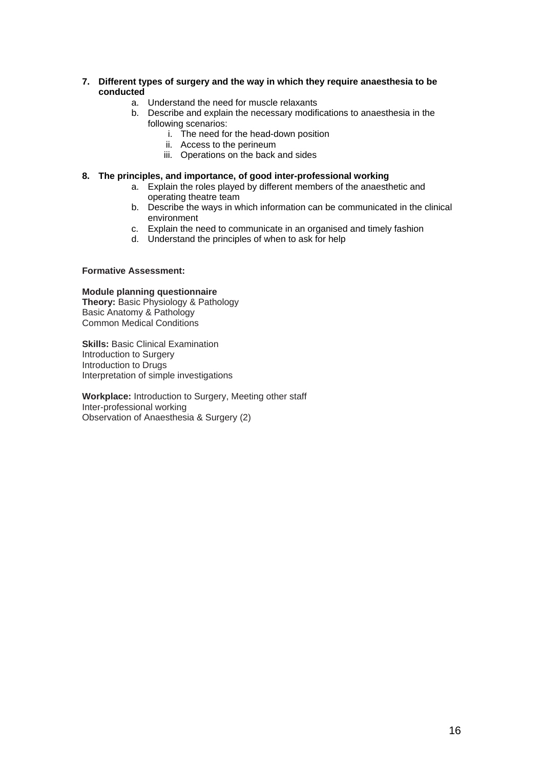#### **7. Different types of surgery and the way in which they require anaesthesia to be conducted**

- a. Understand the need for muscle relaxants
- b. Describe and explain the necessary modifications to anaesthesia in the following scenarios:
	- i. The need for the head-down position
	- ii. Access to the perineum
	- iii. Operations on the back and sides

#### **8. The principles, and importance, of good inter-professional working**

- a. Explain the roles played by different members of the anaesthetic and operating theatre team
- b. Describe the ways in which information can be communicated in the clinical environment
- c. Explain the need to communicate in an organised and timely fashion
- d. Understand the principles of when to ask for help

#### **Formative Assessment:**

#### **Module planning questionnaire**

**Theory: Basic Physiology & Pathology** Basic Anatomy & Pathology Common Medical Conditions

**Skills: Basic Clinical Examination** Introduction to Surgery Introduction to Drugs Interpretation of simple investigations

**Workplace:** Introduction to Surgery, Meeting other staff Inter-professional working Observation of Anaesthesia & Surgery (2)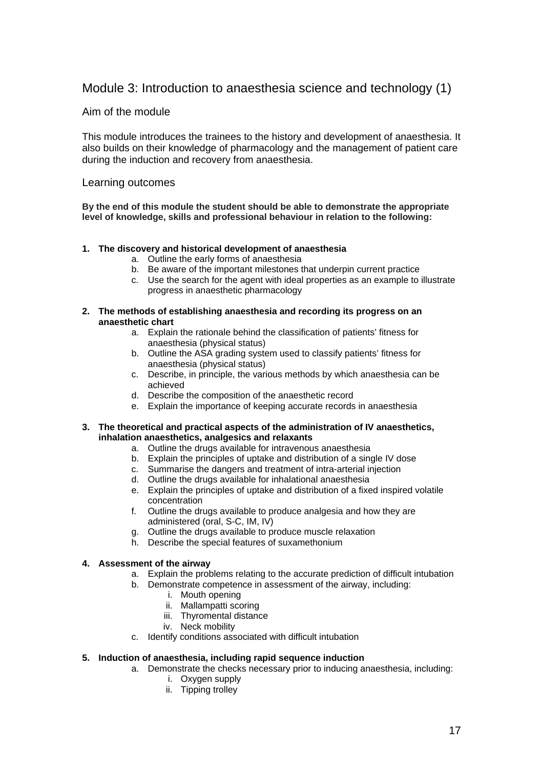## Module 3: Introduction to anaesthesia science and technology (1)

## Aim of the module

This module introduces the trainees to the history and development of anaesthesia. It also builds on their knowledge of pharmacology and the management of patient care during the induction and recovery from anaesthesia.

#### Learning outcomes

**By the end of this module the student should be able to demonstrate the appropriate level of knowledge, skills and professional behaviour in relation to the following:**

#### **1. The discovery and historical development of anaesthesia**

- a. Outline the early forms of anaesthesia
- b. Be aware of the important milestones that underpin current practice
- c. Use the search for the agent with ideal properties as an example to illustrate progress in anaesthetic pharmacology

#### **2. The methods of establishing anaesthesia and recording its progress on an anaesthetic chart**

- a. Explain the rationale behind the classification of patients' fitness for anaesthesia (physical status)
- b. Outline the ASA grading system used to classify patients' fitness for anaesthesia (physical status)
- c. Describe, in principle, the various methods by which anaesthesia can be achieved
- d. Describe the composition of the anaesthetic record
- e. Explain the importance of keeping accurate records in anaesthesia

#### **3. The theoretical and practical aspects of the administration of IV anaesthetics, inhalation anaesthetics, analgesics and relaxants**

- a. Outline the drugs available for intravenous anaesthesia
- b. Explain the principles of uptake and distribution of a single IV dose
- c. Summarise the dangers and treatment of intra-arterial injection
- d. Outline the drugs available for inhalational anaesthesia
- e. Explain the principles of uptake and distribution of a fixed inspired volatile concentration
- f. Outline the drugs available to produce analgesia and how they are administered (oral, S-C, IM, IV)
- g. Outline the drugs available to produce muscle relaxation
- h. Describe the special features of suxamethonium

#### **4. Assessment of the airway**

- a. Explain the problems relating to the accurate prediction of difficult intubation
- b. Demonstrate competence in assessment of the airway, including:
	- i. Mouth opening
	- ii. Mallampatti scoring
	- iii. Thyromental distance
	- iv. Neck mobility
- c. Identify conditions associated with difficult intubation

#### **5. Induction of anaesthesia, including rapid sequence induction**

- a. Demonstrate the checks necessary prior to inducing anaesthesia, including:
	- i. Oxygen supply
	- ii. Tipping trolley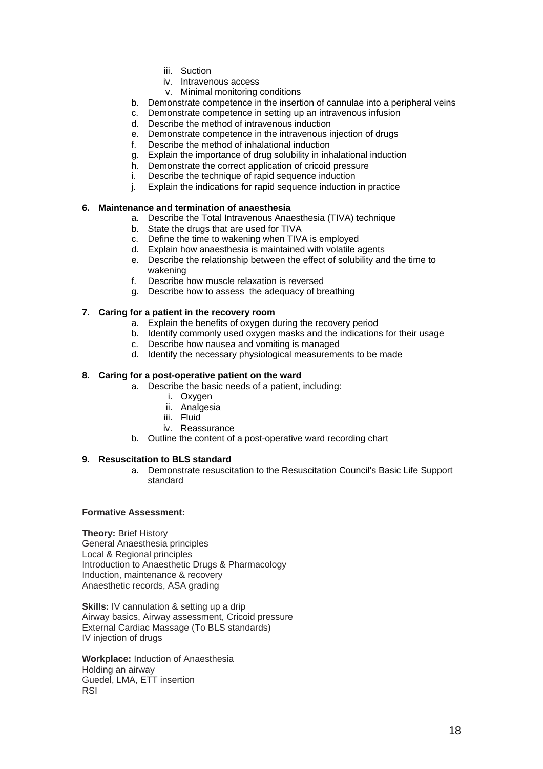- iii. Suction
- iv. Intravenous access
- v. Minimal monitoring conditions
- b. Demonstrate competence in the insertion of cannulae into a peripheral veins
- c. Demonstrate competence in setting up an intravenous infusion
- d. Describe the method of intravenous induction
- e. Demonstrate competence in the intravenous injection of drugs
- f. Describe the method of inhalational induction
- g. Explain the importance of drug solubility in inhalational induction
- h. Demonstrate the correct application of cricoid pressure
- i. Describe the technique of rapid sequence induction
- j. Explain the indications for rapid sequence induction in practice

#### **6. Maintenance and termination of anaesthesia**

- a. Describe the Total Intravenous Anaesthesia (TIVA) technique
- b. State the drugs that are used for TIVA
- c. Define the time to wakening when TIVA is employed
- d. Explain how anaesthesia is maintained with volatile agents
- e. Describe the relationship between the effect of solubility and the time to wakening
- f. Describe how muscle relaxation is reversed
- g. Describe how to assess the adequacy of breathing

#### **7. Caring for a patient in the recovery room**

- a. Explain the benefits of oxygen during the recovery period
- b. Identify commonly used oxygen masks and the indications for their usage
- c. Describe how nausea and vomiting is managed
- d. Identify the necessary physiological measurements to be made

#### **8. Caring for a post-operative patient on the ward**

- a. Describe the basic needs of a patient, including:
	- i. Oxygen
	- ii. Analgesia
	- iii. Fluid
	- iv. Reassurance
- b. Outline the content of a post-operative ward recording chart

#### **9. Resuscitation to BLS standard**

a. Demonstrate resuscitation to the Resuscitation Council's Basic Life Support standard

#### **Formative Assessment:**

**Theory:** Brief History General Anaesthesia principles Local & Regional principles Introduction to Anaesthetic Drugs & Pharmacology Induction, maintenance & recovery Anaesthetic records, ASA grading

**Skills:** IV cannulation & setting up a drip Airway basics, Airway assessment, Cricoid pressure External Cardiac Massage (To BLS standards) IV injection of drugs

**Workplace:** Induction of Anaesthesia Holding an airway Guedel, LMA, ETT insertion RSI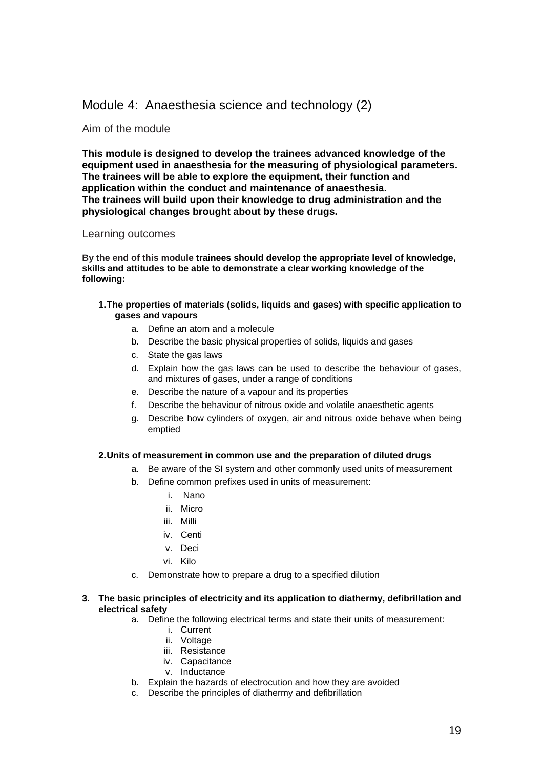## Module 4: Anaesthesia science and technology (2)

#### Aim of the module

**This module is designed to develop the trainees advanced knowledge of the equipment used in anaesthesia for the measuring of physiological parameters. The trainees will be able to explore the equipment, their function and application within the conduct and maintenance of anaesthesia. The trainees will build upon their knowledge to drug administration and the physiological changes brought about by these drugs.** 

#### Learning outcomes

**By the end of this module trainees should develop the appropriate level of knowledge, skills and attitudes to be able to demonstrate a clear working knowledge of the following:** 

- **1. The properties of materials (solids, liquids and gases) with specific application to gases and vapours** 
	- a. Define an atom and a molecule
	- b. Describe the basic physical properties of solids, liquids and gases
	- c. State the gas laws
	- d. Explain how the gas laws can be used to describe the behaviour of gases, and mixtures of gases, under a range of conditions
	- e. Describe the nature of a vapour and its properties
	- Describe the behaviour of nitrous oxide and volatile anaesthetic agents
	- g. Describe how cylinders of oxygen, air and nitrous oxide behave when being emptied

#### **2. Units of measurement in common use and the preparation of diluted drugs**

- a. Be aware of the SI system and other commonly used units of measurement
- b. Define common prefixes used in units of measurement:
	- i. Nano
	- ii. Micro
	- iii. Milli
	- iv. Centi
	- v. Deci
	- vi. Kilo
- c. Demonstrate how to prepare a drug to a specified dilution
- **3. The basic principles of electricity and its application to diathermy, defibrillation and electrical safety** 
	- a. Define the following electrical terms and state their units of measurement:
		- i. Current
		- ii. Voltage
		- iii. Resistance
		- iv. Capacitance
		- v. Inductance
	- b. Explain the hazards of electrocution and how they are avoided
	- c. Describe the principles of diathermy and defibrillation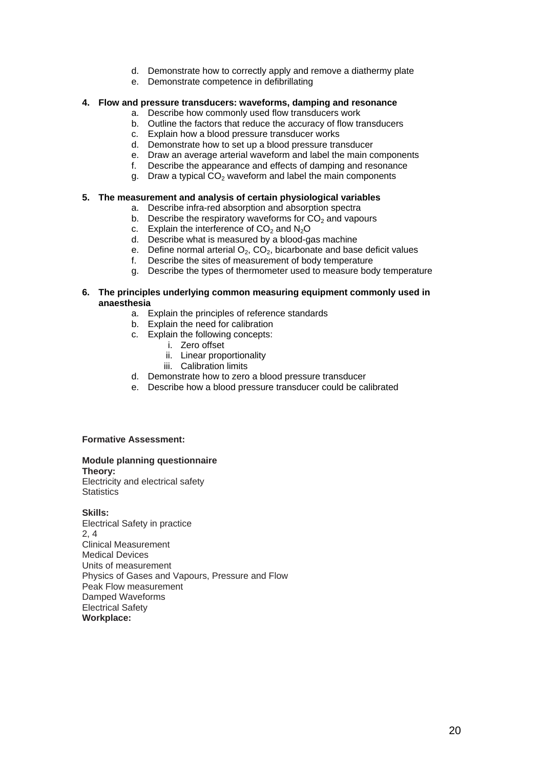- d. Demonstrate how to correctly apply and remove a diathermy plate
- e. Demonstrate competence in defibrillating

#### **4. Flow and pressure transducers: waveforms, damping and resonance**

- a. Describe how commonly used flow transducers work
- b. Outline the factors that reduce the accuracy of flow transducers
- c. Explain how a blood pressure transducer works
- d. Demonstrate how to set up a blood pressure transducer
- e. Draw an average arterial waveform and label the main components
- f. Describe the appearance and effects of damping and resonance
- g. Draw a typical  $CO<sub>2</sub>$  waveform and label the main components

#### **5. The measurement and analysis of certain physiological variables**

- a. Describe infra-red absorption and absorption spectra
- b. Describe the respiratory waveforms for  $CO<sub>2</sub>$  and vapours
- c. Explain the interference of  $CO<sub>2</sub>$  and  $N<sub>2</sub>O$
- d. Describe what is measured by a blood-gas machine
- e. Define normal arterial  $O_2$ ,  $CO_2$ , bicarbonate and base deficit values f. Describe the sites of measurement of body temperature
- Describe the sites of measurement of body temperature
- g. Describe the types of thermometer used to measure body temperature

#### **6. The principles underlying common measuring equipment commonly used in anaesthesia**

- a. Explain the principles of reference standards
- b. Explain the need for calibration
- c. Explain the following concepts:
	- i. Zero offset
	- ii. Linear proportionality
	- iii. Calibration limits
- d. Demonstrate how to zero a blood pressure transducer
- e. Describe how a blood pressure transducer could be calibrated

#### **Formative Assessment:**

#### **Module planning questionnaire**

**Theory:** 

Electricity and electrical safety **Statistics** 

#### **Skills:**

Electrical Safety in practice 2, 4 Clinical Measurement Medical Devices Units of measurement Physics of Gases and Vapours, Pressure and Flow Peak Flow measurement Damped Waveforms Electrical Safety **Workplace:**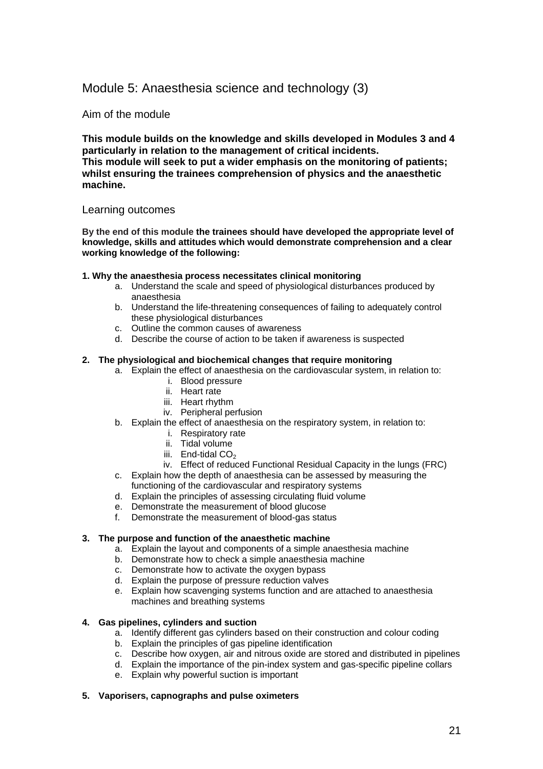## Module 5: Anaesthesia science and technology (3)

## Aim of the module

**This module builds on the knowledge and skills developed in Modules 3 and 4 particularly in relation to the management of critical incidents. This module will seek to put a wider emphasis on the monitoring of patients; whilst ensuring the trainees comprehension of physics and the anaesthetic machine.** 

#### Learning outcomes

**By the end of this module the trainees should have developed the appropriate level of knowledge, skills and attitudes which would demonstrate comprehension and a clear working knowledge of the following:** 

#### **1. Why the anaesthesia process necessitates clinical monitoring**

- a. Understand the scale and speed of physiological disturbances produced by anaesthesia
- b. Understand the life-threatening consequences of failing to adequately control these physiological disturbances
- c. Outline the common causes of awareness
- d. Describe the course of action to be taken if awareness is suspected

#### **2. The physiological and biochemical changes that require monitoring**

- a. Explain the effect of anaesthesia on the cardiovascular system, in relation to:
	- i. Blood pressure
	- ii. Heart rate
	- iii. Heart rhythm
	- iv. Peripheral perfusion
- b. Explain the effect of anaesthesia on the respiratory system, in relation to:
	- i. Respiratory rate
	- ii. Tidal volume
	- iii. End-tidal  $CO<sub>2</sub>$
	- iv. Effect of reduced Functional Residual Capacity in the lungs (FRC)
- c. Explain how the depth of anaesthesia can be assessed by measuring the functioning of the cardiovascular and respiratory systems
- d. Explain the principles of assessing circulating fluid volume
- 
- e. Demonstrate the measurement of blood glucose<br>f. Demonstrate the measurement of blood-gas state Demonstrate the measurement of blood-gas status

#### **3. The purpose and function of the anaesthetic machine**

- a. Explain the layout and components of a simple anaesthesia machine
- b. Demonstrate how to check a simple anaesthesia machine
- c. Demonstrate how to activate the oxygen bypass
- d. Explain the purpose of pressure reduction valves
- e. Explain how scavenging systems function and are attached to anaesthesia machines and breathing systems

#### **4. Gas pipelines, cylinders and suction**

- a. Identify different gas cylinders based on their construction and colour coding
- b. Explain the principles of gas pipeline identification
- c. Describe how oxygen, air and nitrous oxide are stored and distributed in pipelines
- d. Explain the importance of the pin-index system and gas-specific pipeline collars
- e. Explain why powerful suction is important

#### **5. Vaporisers, capnographs and pulse oximeters**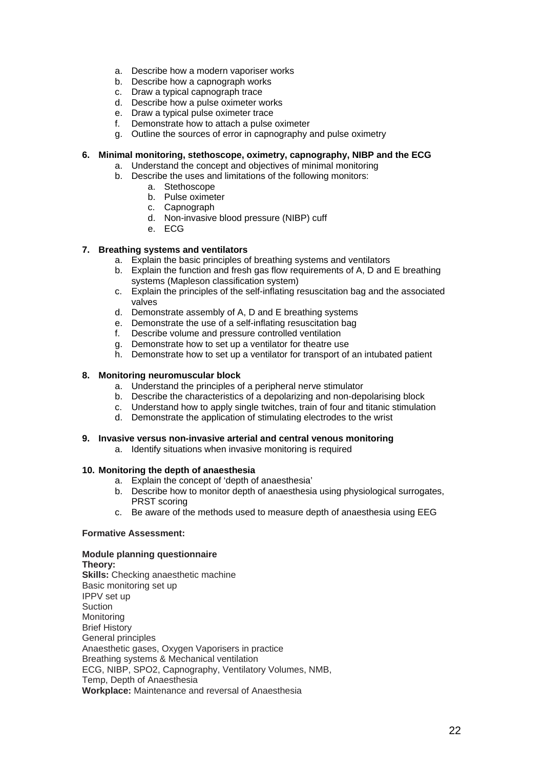- a. Describe how a modern vaporiser works
- b. Describe how a capnograph works
- c. Draw a typical capnograph trace
- d. Describe how a pulse oximeter works
- e. Draw a typical pulse oximeter trace
- f. Demonstrate how to attach a pulse oximeter
- g. Outline the sources of error in capnography and pulse oximetry

#### **6. Minimal monitoring, stethoscope, oximetry, capnography, NIBP and the ECG**

- a. Understand the concept and objectives of minimal monitoring
- b. Describe the uses and limitations of the following monitors:
	- a. Stethoscope
		- b. Pulse oximeter
		- c. Capnograph
		- d. Non-invasive blood pressure (NIBP) cuff
		- e. ECG

#### **7. Breathing systems and ventilators**

- a. Explain the basic principles of breathing systems and ventilators
- b. Explain the function and fresh gas flow requirements of A, D and E breathing systems (Mapleson classification system)
- c. Explain the principles of the self-inflating resuscitation bag and the associated valves
- d. Demonstrate assembly of A, D and E breathing systems
- e. Demonstrate the use of a self-inflating resuscitation bag
- f. Describe volume and pressure controlled ventilation
- g. Demonstrate how to set up a ventilator for theatre use
- h. Demonstrate how to set up a ventilator for transport of an intubated patient

#### **8. Monitoring neuromuscular block**

- a. Understand the principles of a peripheral nerve stimulator
- b. Describe the characteristics of a depolarizing and non-depolarising block
- c. Understand how to apply single twitches, train of four and titanic stimulation
- d. Demonstrate the application of stimulating electrodes to the wrist

#### **9. Invasive versus non-invasive arterial and central venous monitoring**

a. Identify situations when invasive monitoring is required

#### **10. Monitoring the depth of anaesthesia**

- a. Explain the concept of 'depth of anaesthesia'
- b. Describe how to monitor depth of anaesthesia using physiological surrogates, PRST scoring
- c. Be aware of the methods used to measure depth of anaesthesia using EEG

#### **Formative Assessment:**

#### **Module planning questionnaire**

**Theory: Skills:** Checking anaesthetic machine Basic monitoring set up IPPV set up Suction **Monitoring** Brief History General principles Anaesthetic gases, Oxygen Vaporisers in practice Breathing systems & Mechanical ventilation ECG, NIBP, SPO2, Capnography, Ventilatory Volumes, NMB, Temp, Depth of Anaesthesia **Workplace:** Maintenance and reversal of Anaesthesia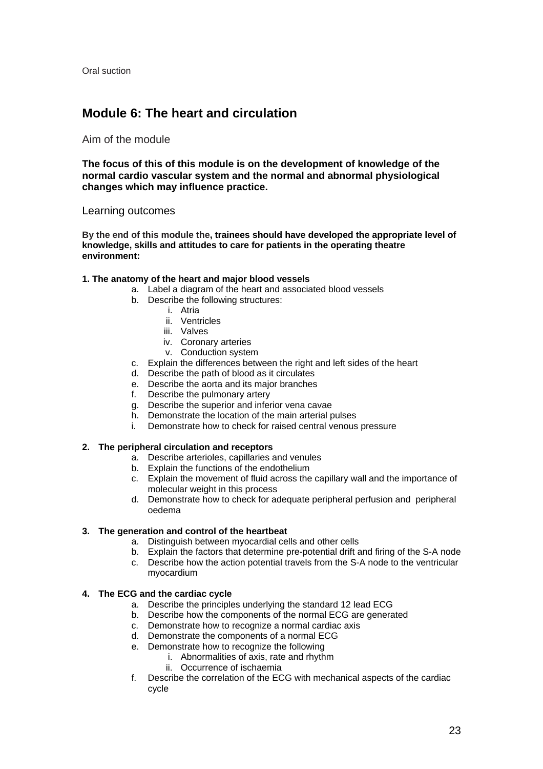Oral suction

# **Module 6: The heart and circulation**

#### Aim of the module

**The focus of this of this module is on the development of knowledge of the normal cardio vascular system and the normal and abnormal physiological changes which may influence practice.** 

#### Learning outcomes

**By the end of this module the, trainees should have developed the appropriate level of knowledge, skills and attitudes to care for patients in the operating theatre environment:** 

#### **1. The anatomy of the heart and major blood vessels**

- a. Label a diagram of the heart and associated blood vessels
- b. Describe the following structures:
	- i. Atria
		- ii. Ventricles
		- iii. Valves
		- iv. Coronary arteries
		- v. Conduction system
- c. Explain the differences between the right and left sides of the heart
- d. Describe the path of blood as it circulates
- e. Describe the aorta and its major branches
- f. Describe the pulmonary artery
- g. Describe the superior and inferior vena cavae
- h. Demonstrate the location of the main arterial pulses
- i. Demonstrate how to check for raised central venous pressure

#### **2. The peripheral circulation and receptors**

- a. Describe arterioles, capillaries and venules
- b. Explain the functions of the endothelium
- c. Explain the movement of fluid across the capillary wall and the importance of molecular weight in this process
- d. Demonstrate how to check for adequate peripheral perfusion and peripheral oedema

#### **3. The generation and control of the heartbeat**

- a. Distinguish between myocardial cells and other cells
- b. Explain the factors that determine pre-potential drift and firing of the S-A node
- c. Describe how the action potential travels from the S-A node to the ventricular myocardium

#### **4. The ECG and the cardiac cycle**

- a. Describe the principles underlying the standard 12 lead ECG
- b. Describe how the components of the normal ECG are generated
- c. Demonstrate how to recognize a normal cardiac axis
- d. Demonstrate the components of a normal ECG
- e. Demonstrate how to recognize the following
	- i. Abnormalities of axis, rate and rhythm
	- ii. Occurrence of ischaemia
- f. Describe the correlation of the ECG with mechanical aspects of the cardiac cycle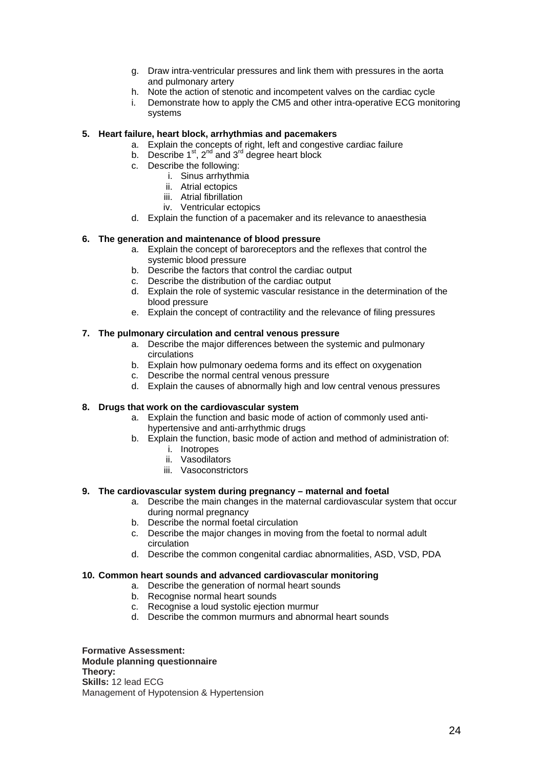- g. Draw intra-ventricular pressures and link them with pressures in the aorta and pulmonary artery
- h. Note the action of stenotic and incompetent valves on the cardiac cycle
- Demonstrate how to apply the CM5 and other intra-operative ECG monitoring systems

#### **5. Heart failure, heart block, arrhythmias and pacemakers**

- a. Explain the concepts of right, left and congestive cardiac failure
- b. Describe  $1^{st}$ ,  $2^{nd}$  and  $3^{rd}$  degree heart block
- c. Describe the following:
	- i. Sinus arrhythmia
	- ii. Atrial ectopics
	- iii. Atrial fibrillation
	- iv. Ventricular ectopics
- d. Explain the function of a pacemaker and its relevance to anaesthesia

#### **6. The generation and maintenance of blood pressure**

- a. Explain the concept of baroreceptors and the reflexes that control the systemic blood pressure
- b. Describe the factors that control the cardiac output
- c. Describe the distribution of the cardiac output
- d. Explain the role of systemic vascular resistance in the determination of the blood pressure
- e. Explain the concept of contractility and the relevance of filing pressures

#### **7. The pulmonary circulation and central venous pressure**

- a. Describe the major differences between the systemic and pulmonary circulations
- b. Explain how pulmonary oedema forms and its effect on oxygenation
- c. Describe the normal central venous pressure
- d. Explain the causes of abnormally high and low central venous pressures

#### **8. Drugs that work on the cardiovascular system**

- a. Explain the function and basic mode of action of commonly used antihypertensive and anti-arrhythmic drugs
- b. Explain the function, basic mode of action and method of administration of:
	- i. Inotropes
	- ii. Vasodilators
	- iii. Vasoconstrictors

#### **9. The cardiovascular system during pregnancy – maternal and foetal**

- a. Describe the main changes in the maternal cardiovascular system that occur during normal pregnancy
- b. Describe the normal foetal circulation
- c. Describe the major changes in moving from the foetal to normal adult circulation
- d. Describe the common congenital cardiac abnormalities, ASD, VSD, PDA

#### **10. Common heart sounds and advanced cardiovascular monitoring**

- a. Describe the generation of normal heart sounds
- b. Recognise normal heart sounds
- c. Recognise a loud systolic ejection murmur
- d. Describe the common murmurs and abnormal heart sounds

**Formative Assessment: Module planning questionnaire Theory: Skills:** 12 lead ECG Management of Hypotension & Hypertension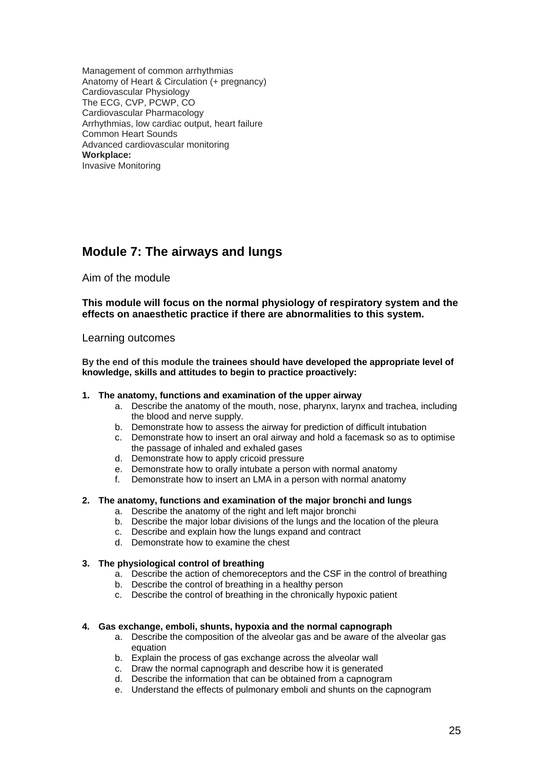Management of common arrhythmias Anatomy of Heart & Circulation (+ pregnancy) Cardiovascular Physiology The ECG, CVP, PCWP, CO Cardiovascular Pharmacology Arrhythmias, low cardiac output, heart failure Common Heart Sounds Advanced cardiovascular monitoring **Workplace:**  Invasive Monitoring

# **Module 7: The airways and lungs**

Aim of the module

**This module will focus on the normal physiology of respiratory system and the effects on anaesthetic practice if there are abnormalities to this system.** 

#### Learning outcomes

**By the end of this module the trainees should have developed the appropriate level of knowledge, skills and attitudes to begin to practice proactively:** 

#### **1. The anatomy, functions and examination of the upper airway**

- a. Describe the anatomy of the mouth, nose, pharynx, larynx and trachea, including the blood and nerve supply.
- b. Demonstrate how to assess the airway for prediction of difficult intubation
- c. Demonstrate how to insert an oral airway and hold a facemask so as to optimise the passage of inhaled and exhaled gases
- d. Demonstrate how to apply cricoid pressure
- e. Demonstrate how to orally intubate a person with normal anatomy
- f. Demonstrate how to insert an LMA in a person with normal anatomy

#### **2. The anatomy, functions and examination of the major bronchi and lungs**

- a. Describe the anatomy of the right and left major bronchi
- b. Describe the major lobar divisions of the lungs and the location of the pleura
- c. Describe and explain how the lungs expand and contract
- d. Demonstrate how to examine the chest

#### **3. The physiological control of breathing**

- a. Describe the action of chemoreceptors and the CSF in the control of breathing
- b. Describe the control of breathing in a healthy person
- c. Describe the control of breathing in the chronically hypoxic patient

#### **4. Gas exchange, emboli, shunts, hypoxia and the normal capnograph**

- a. Describe the composition of the alveolar gas and be aware of the alveolar gas equation
- b. Explain the process of gas exchange across the alveolar wall
- c. Draw the normal capnograph and describe how it is generated
- d. Describe the information that can be obtained from a capnogram
- e. Understand the effects of pulmonary emboli and shunts on the capnogram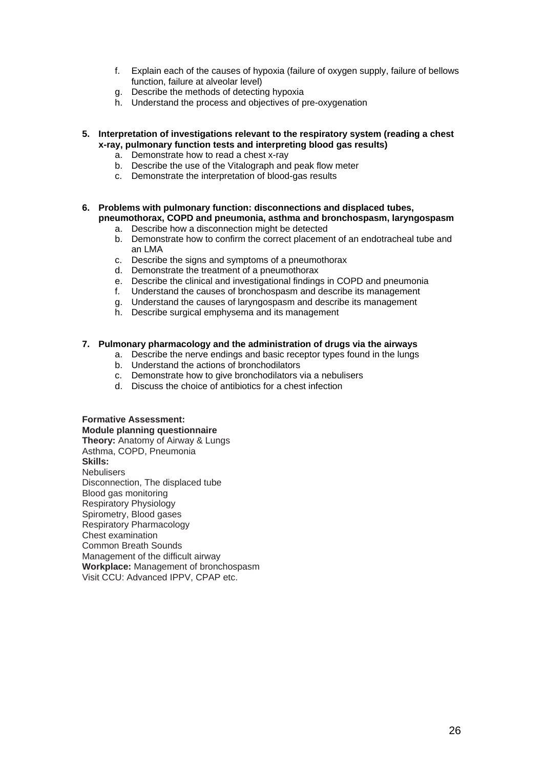- f. Explain each of the causes of hypoxia (failure of oxygen supply, failure of bellows function, failure at alveolar level)
- g. Describe the methods of detecting hypoxia
- h. Understand the process and objectives of pre-oxygenation
- **5. Interpretation of investigations relevant to the respiratory system (reading a chest x-ray, pulmonary function tests and interpreting blood gas results)** 
	- a. Demonstrate how to read a chest x-ray
	- b. Describe the use of the Vitalograph and peak flow meter
	- c. Demonstrate the interpretation of blood-gas results
- **6. Problems with pulmonary function: disconnections and displaced tubes, pneumothorax, COPD and pneumonia, asthma and bronchospasm, laryngospasm** 
	- a. Describe how a disconnection might be detected
	- b. Demonstrate how to confirm the correct placement of an endotracheal tube and an LMA
	- c. Describe the signs and symptoms of a pneumothorax
	- d. Demonstrate the treatment of a pneumothorax
	- e. Describe the clinical and investigational findings in COPD and pneumonia
	- f. Understand the causes of bronchospasm and describe its management
	- g. Understand the causes of laryngospasm and describe its management
	- h. Describe surgical emphysema and its management

#### **7. Pulmonary pharmacology and the administration of drugs via the airways**

- a. Describe the nerve endings and basic receptor types found in the lungs
- b. Understand the actions of bronchodilators
- c. Demonstrate how to give bronchodilators via a nebulisers
- d. Discuss the choice of antibiotics for a chest infection

**Formative Assessment: Module planning questionnaire Theory:** Anatomy of Airway & Lungs Asthma, COPD, Pneumonia **Skills: Nebulisers** Disconnection, The displaced tube Blood gas monitoring Respiratory Physiology Spirometry, Blood gases Respiratory Pharmacology Chest examination Common Breath Sounds Management of the difficult airway **Workplace:** Management of bronchospasm Visit CCU: Advanced IPPV, CPAP etc.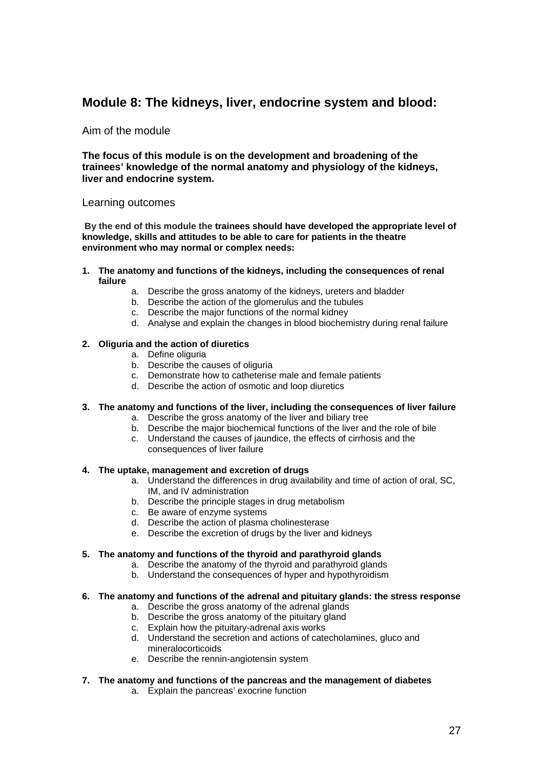## **Module 8: The kidneys, liver, endocrine system and blood:**

Aim of the module

**The focus of this module is on the development and broadening of the trainees' knowledge of the normal anatomy and physiology of the kidneys, liver and endocrine system.** 

#### Learning outcomes

**By the end of this module the trainees should have developed the appropriate level of knowledge, skills and attitudes to be able to care for patients in the theatre environment who may normal or complex needs:**

- **1. The anatomy and functions of the kidneys, including the consequences of renal failure** 
	- a. Describe the gross anatomy of the kidneys, ureters and bladder
	- b. Describe the action of the glomerulus and the tubules
	- c. Describe the major functions of the normal kidney
	- d. Analyse and explain the changes in blood biochemistry during renal failure

#### **2. Oliguria and the action of diuretics**

- a. Define oliguria
- b. Describe the causes of oliguria
- c. Demonstrate how to catheterise male and female patients
- d. Describe the action of osmotic and loop diuretics

#### **3. The anatomy and functions of the liver, including the consequences of liver failure**

- a. Describe the gross anatomy of the liver and biliary tree
- b. Describe the major biochemical functions of the liver and the role of bile
- c. Understand the causes of jaundice, the effects of cirrhosis and the consequences of liver failure

#### **4. The uptake, management and excretion of drugs**

- a. Understand the differences in drug availability and time of action of oral, SC, IM, and IV administration
- b. Describe the principle stages in drug metabolism
- c. Be aware of enzyme systems
- d. Describe the action of plasma cholinesterase
- e. Describe the excretion of drugs by the liver and kidneys

#### **5. The anatomy and functions of the thyroid and parathyroid glands**

- a. Describe the anatomy of the thyroid and parathyroid glands
- b. Understand the consequences of hyper and hypothyroidism

#### **6. The anatomy and functions of the adrenal and pituitary glands: the stress response**

- a. Describe the gross anatomy of the adrenal glands
- b. Describe the gross anatomy of the pituitary gland
- c. Explain how the pituitary-adrenal axis works
- d. Understand the secretion and actions of catecholamines, gluco and mineralocorticoids
- e. Describe the rennin-angiotensin system

## **7. The anatomy and functions of the pancreas and the management of diabetes**

a. Explain the pancreas' exocrine function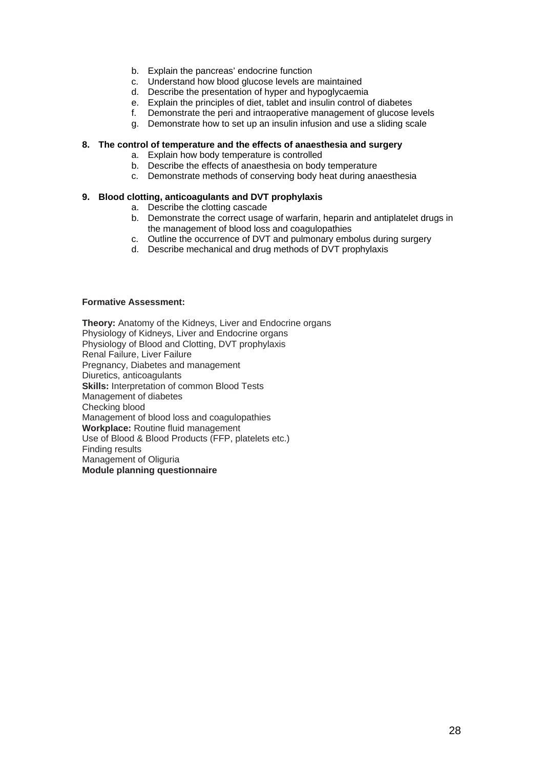- b. Explain the pancreas' endocrine function
- c. Understand how blood glucose levels are maintained
- d. Describe the presentation of hyper and hypoglycaemia
- e. Explain the principles of diet, tablet and insulin control of diabetes
- f. Demonstrate the peri and intraoperative management of glucose levels
- g. Demonstrate how to set up an insulin infusion and use a sliding scale

#### **8. The control of temperature and the effects of anaesthesia and surgery**

- a. Explain how body temperature is controlled
- b. Describe the effects of anaesthesia on body temperature
- c. Demonstrate methods of conserving body heat during anaesthesia

#### **9. Blood clotting, anticoagulants and DVT prophylaxis**

- a. Describe the clotting cascade
- b. Demonstrate the correct usage of warfarin, heparin and antiplatelet drugs in the management of blood loss and coagulopathies
- c. Outline the occurrence of DVT and pulmonary embolus during surgery
- d. Describe mechanical and drug methods of DVT prophylaxis

#### **Formative Assessment:**

**Theory:** Anatomy of the Kidneys, Liver and Endocrine organs Physiology of Kidneys, Liver and Endocrine organs Physiology of Blood and Clotting, DVT prophylaxis Renal Failure, Liver Failure Pregnancy, Diabetes and management Diuretics, anticoagulants **Skills:** Interpretation of common Blood Tests Management of diabetes Checking blood Management of blood loss and coagulopathies **Workplace:** Routine fluid management Use of Blood & Blood Products (FFP, platelets etc.) Finding results Management of Oliguria **Module planning questionnaire**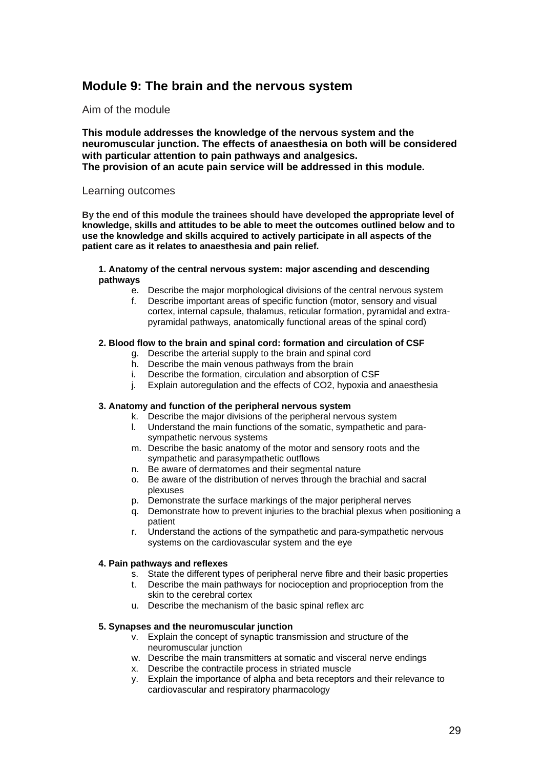## **Module 9: The brain and the nervous system**

Aim of the module

**This module addresses the knowledge of the nervous system and the neuromuscular junction. The effects of anaesthesia on both will be considered with particular attention to pain pathways and analgesics. The provision of an acute pain service will be addressed in this module.** 

#### Learning outcomes

**By the end of this module the trainees should have developed the appropriate level of knowledge, skills and attitudes to be able to meet the outcomes outlined below and to use the knowledge and skills acquired to actively participate in all aspects of the patient care as it relates to anaesthesia and pain relief.** 

#### **1. Anatomy of the central nervous system: major ascending and descending pathways**

- e. Describe the major morphological divisions of the central nervous system
- f. Describe important areas of specific function (motor, sensory and visual cortex, internal capsule, thalamus, reticular formation, pyramidal and extrapyramidal pathways, anatomically functional areas of the spinal cord)

#### **2. Blood flow to the brain and spinal cord: formation and circulation of CSF**

- g. Describe the arterial supply to the brain and spinal cord
- h. Describe the main venous pathways from the brain
- i. Describe the formation, circulation and absorption of CSF
- j. Explain autoregulation and the effects of CO2, hypoxia and anaesthesia

#### **3. Anatomy and function of the peripheral nervous system**

- k. Describe the major divisions of the peripheral nervous system
- l. Understand the main functions of the somatic, sympathetic and parasympathetic nervous systems
- m. Describe the basic anatomy of the motor and sensory roots and the sympathetic and parasympathetic outflows
- n. Be aware of dermatomes and their segmental nature
- o. Be aware of the distribution of nerves through the brachial and sacral plexuses
- p. Demonstrate the surface markings of the major peripheral nerves
- q. Demonstrate how to prevent injuries to the brachial plexus when positioning a patient
- r. Understand the actions of the sympathetic and para-sympathetic nervous systems on the cardiovascular system and the eye

#### **4. Pain pathways and reflexes**

- s. State the different types of peripheral nerve fibre and their basic properties
	- t. Describe the main pathways for nocioception and proprioception from the skin to the cerebral cortex
	- u. Describe the mechanism of the basic spinal reflex arc

#### **5. Synapses and the neuromuscular junction**

- v. Explain the concept of synaptic transmission and structure of the neuromuscular junction
- w. Describe the main transmitters at somatic and visceral nerve endings
- x. Describe the contractile process in striated muscle
- y. Explain the importance of alpha and beta receptors and their relevance to cardiovascular and respiratory pharmacology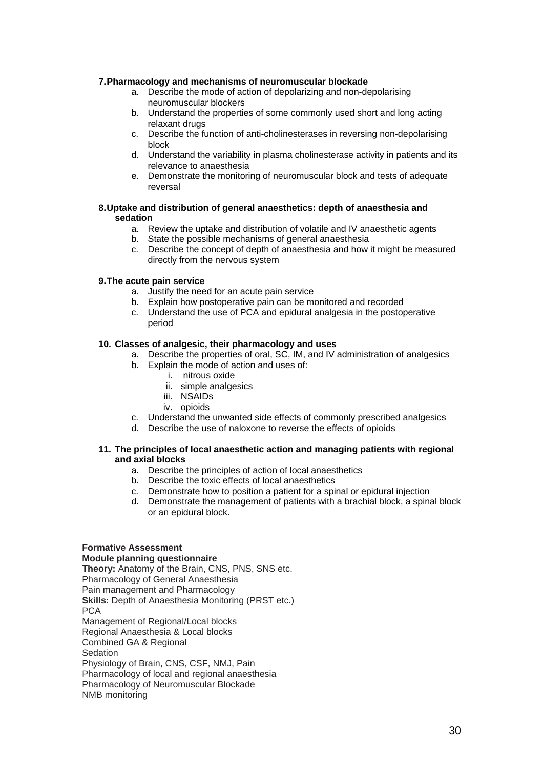#### **7. Pharmacology and mechanisms of neuromuscular blockade**

- a. Describe the mode of action of depolarizing and non-depolarising neuromuscular blockers
- b. Understand the properties of some commonly used short and long acting relaxant drugs
- c. Describe the function of anti-cholinesterases in reversing non-depolarising block
- d. Understand the variability in plasma cholinesterase activity in patients and its relevance to anaesthesia
- e. Demonstrate the monitoring of neuromuscular block and tests of adequate reversal

#### **8. Uptake and distribution of general anaesthetics: depth of anaesthesia and sedation**

- a. Review the uptake and distribution of volatile and IV anaesthetic agents
- b. State the possible mechanisms of general anaesthesia
- c. Describe the concept of depth of anaesthesia and how it might be measured directly from the nervous system

#### **9. The acute pain service**

- a. Justify the need for an acute pain service
- b. Explain how postoperative pain can be monitored and recorded
- c. Understand the use of PCA and epidural analgesia in the postoperative period

#### **10. Classes of analgesic, their pharmacology and uses**

- a. Describe the properties of oral, SC, IM, and IV administration of analgesics
- b. Explain the mode of action and uses of:
	- i. nitrous oxide
	- ii. simple analgesics
	- iii. NSAIDs
	- iv. opioids
- c. Understand the unwanted side effects of commonly prescribed analgesics
- d. Describe the use of naloxone to reverse the effects of opioids

#### **11. The principles of local anaesthetic action and managing patients with regional and axial blocks**

- a. Describe the principles of action of local anaesthetics
- b. Describe the toxic effects of local anaesthetics
- c. Demonstrate how to position a patient for a spinal or epidural injection
- d. Demonstrate the management of patients with a brachial block, a spinal block or an epidural block.

### **Formative Assessment**

**Module planning questionnaire** 

**Theory:** Anatomy of the Brain, CNS, PNS, SNS etc. Pharmacology of General Anaesthesia Pain management and Pharmacology **Skills:** Depth of Anaesthesia Monitoring (PRST etc.) **PCA** Management of Regional/Local blocks Regional Anaesthesia & Local blocks Combined GA & Regional **Sedation** Physiology of Brain, CNS, CSF, NMJ, Pain Pharmacology of local and regional anaesthesia Pharmacology of Neuromuscular Blockade NMB monitoring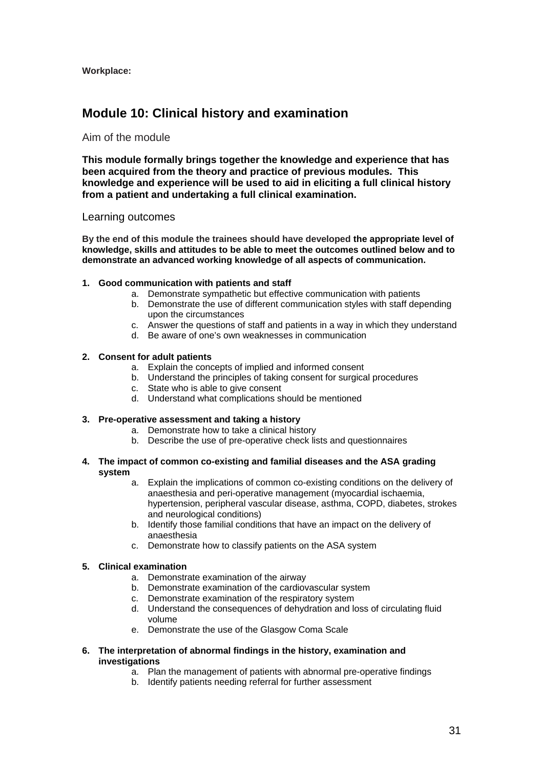**Workplace:** 

## **Module 10: Clinical history and examination**

#### Aim of the module

**This module formally brings together the knowledge and experience that has been acquired from the theory and practice of previous modules. This knowledge and experience will be used to aid in eliciting a full clinical history from a patient and undertaking a full clinical examination.** 

#### Learning outcomes

**By the end of this module the trainees should have developed the appropriate level of knowledge, skills and attitudes to be able to meet the outcomes outlined below and to demonstrate an advanced working knowledge of all aspects of communication.**

#### **1. Good communication with patients and staff**

- a. Demonstrate sympathetic but effective communication with patients
- b. Demonstrate the use of different communication styles with staff depending upon the circumstances
- c. Answer the questions of staff and patients in a way in which they understand
- d. Be aware of one's own weaknesses in communication

#### **2. Consent for adult patients**

- a. Explain the concepts of implied and informed consent
- b. Understand the principles of taking consent for surgical procedures
- c. State who is able to give consent
- d. Understand what complications should be mentioned

#### **3. Pre-operative assessment and taking a history**

- a. Demonstrate how to take a clinical history
- b. Describe the use of pre-operative check lists and questionnaires

#### **4. The impact of common co-existing and familial diseases and the ASA grading system**

- a. Explain the implications of common co-existing conditions on the delivery of anaesthesia and peri-operative management (myocardial ischaemia, hypertension, peripheral vascular disease, asthma, COPD, diabetes, strokes and neurological conditions)
- b. Identify those familial conditions that have an impact on the delivery of anaesthesia
- c. Demonstrate how to classify patients on the ASA system

#### **5. Clinical examination**

- a. Demonstrate examination of the airway
- b. Demonstrate examination of the cardiovascular system
- c. Demonstrate examination of the respiratory system
- d. Understand the consequences of dehydration and loss of circulating fluid volume
- e. Demonstrate the use of the Glasgow Coma Scale
- **6. The interpretation of abnormal findings in the history, examination and investigations** 
	- a. Plan the management of patients with abnormal pre-operative findings
	- b. Identify patients needing referral for further assessment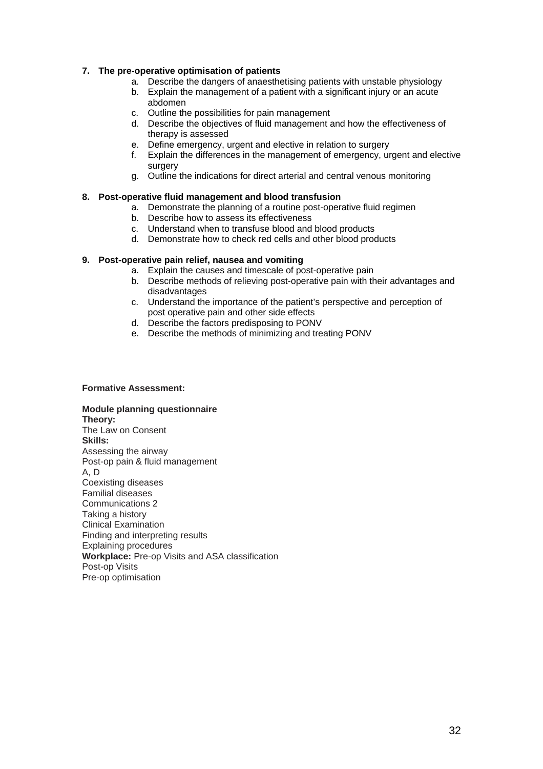#### **7. The pre-operative optimisation of patients**

- a. Describe the dangers of anaesthetising patients with unstable physiology
- b. Explain the management of a patient with a significant injury or an acute abdomen
- c. Outline the possibilities for pain management
- d. Describe the objectives of fluid management and how the effectiveness of therapy is assessed
- e. Define emergency, urgent and elective in relation to surgery
- f. Explain the differences in the management of emergency, urgent and elective surgery
- g. Outline the indications for direct arterial and central venous monitoring

#### **8. Post-operative fluid management and blood transfusion**

- a. Demonstrate the planning of a routine post-operative fluid regimen
- b. Describe how to assess its effectiveness
- c. Understand when to transfuse blood and blood products
- d. Demonstrate how to check red cells and other blood products

#### **9. Post-operative pain relief, nausea and vomiting**

- a. Explain the causes and timescale of post-operative pain
- b. Describe methods of relieving post-operative pain with their advantages and disadvantages
- c. Understand the importance of the patient's perspective and perception of post operative pain and other side effects
- d. Describe the factors predisposing to PONV
- e. Describe the methods of minimizing and treating PONV

#### **Formative Assessment:**

**Module planning questionnaire Theory:**  The Law on Consent **Skills:**  Assessing the airway Post-op pain & fluid management A, D Coexisting diseases Familial diseases Communications 2 Taking a history Clinical Examination Finding and interpreting results Explaining procedures **Workplace:** Pre-op Visits and ASA classification Post-op Visits Pre-op optimisation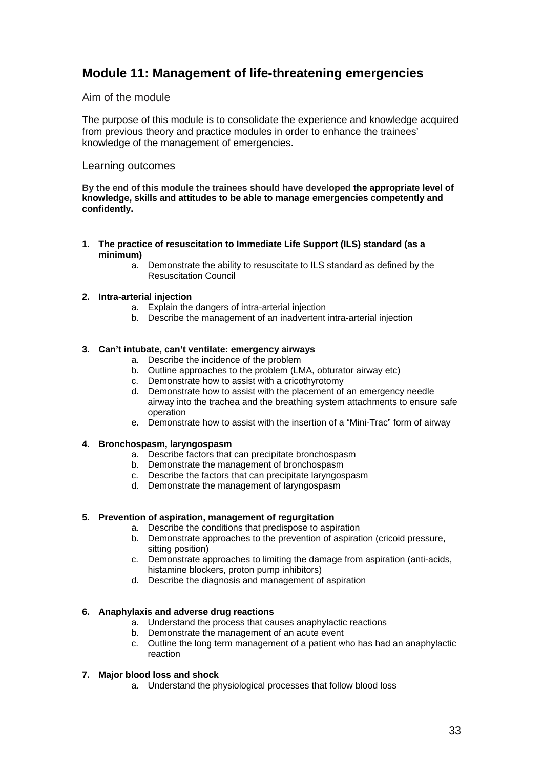# **Module 11: Management of life-threatening emergencies**

## Aim of the module

The purpose of this module is to consolidate the experience and knowledge acquired from previous theory and practice modules in order to enhance the trainees' knowledge of the management of emergencies.

### Learning outcomes

**By the end of this module the trainees should have developed the appropriate level of knowledge, skills and attitudes to be able to manage emergencies competently and confidently.** 

- **1. The practice of resuscitation to Immediate Life Support (ILS) standard (as a minimum)** 
	- a. Demonstrate the ability to resuscitate to ILS standard as defined by the Resuscitation Council

#### **2. Intra-arterial injection**

- a. Explain the dangers of intra-arterial injection
- b. Describe the management of an inadvertent intra-arterial injection

#### **3. Can't intubate, can't ventilate: emergency airways**

- a. Describe the incidence of the problem
- b. Outline approaches to the problem (LMA, obturator airway etc)
- c. Demonstrate how to assist with a cricothyrotomy
- d. Demonstrate how to assist with the placement of an emergency needle airway into the trachea and the breathing system attachments to ensure safe operation
- e. Demonstrate how to assist with the insertion of a "Mini-Trac" form of airway

#### **4. Bronchospasm, laryngospasm**

- a. Describe factors that can precipitate bronchospasm
- b. Demonstrate the management of bronchospasm
- c. Describe the factors that can precipitate laryngospasm
- d. Demonstrate the management of laryngospasm

#### **5. Prevention of aspiration, management of regurgitation**

- a. Describe the conditions that predispose to aspiration
- b. Demonstrate approaches to the prevention of aspiration (cricoid pressure, sitting position)
- c. Demonstrate approaches to limiting the damage from aspiration (anti-acids, histamine blockers, proton pump inhibitors)
- d. Describe the diagnosis and management of aspiration

#### **6. Anaphylaxis and adverse drug reactions**

- a. Understand the process that causes anaphylactic reactions
- b. Demonstrate the management of an acute event
- c. Outline the long term management of a patient who has had an anaphylactic reaction

#### **7. Major blood loss and shock**

a. Understand the physiological processes that follow blood loss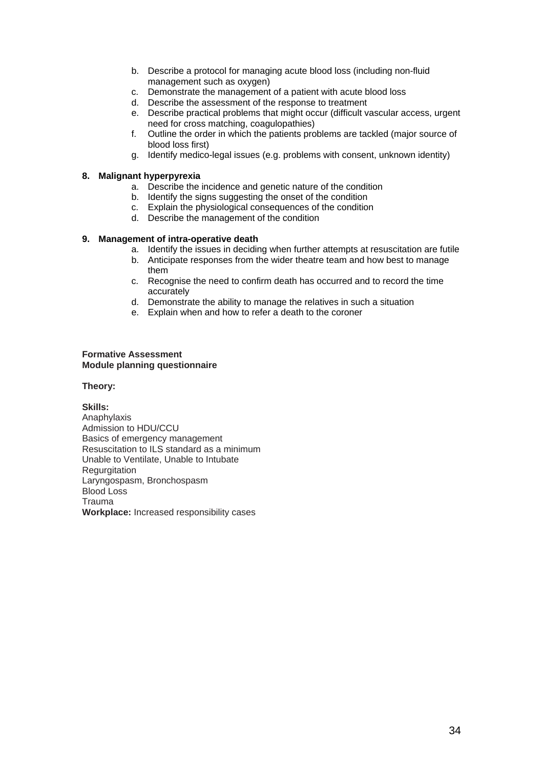- b. Describe a protocol for managing acute blood loss (including non-fluid management such as oxygen)
- c. Demonstrate the management of a patient with acute blood loss
- d. Describe the assessment of the response to treatment
- e. Describe practical problems that might occur (difficult vascular access, urgent need for cross matching, coagulopathies)
- f. Outline the order in which the patients problems are tackled (major source of blood loss first)
- g. Identify medico-legal issues (e.g. problems with consent, unknown identity)

#### **8. Malignant hyperpyrexia**

- a. Describe the incidence and genetic nature of the condition
- b. Identify the signs suggesting the onset of the condition
- c. Explain the physiological consequences of the condition
- d. Describe the management of the condition

#### **9. Management of intra-operative death**

- a. Identify the issues in deciding when further attempts at resuscitation are futile
- b. Anticipate responses from the wider theatre team and how best to manage them
- c. Recognise the need to confirm death has occurred and to record the time accurately
- d. Demonstrate the ability to manage the relatives in such a situation
- e. Explain when and how to refer a death to the coroner

#### **Formative Assessment Module planning questionnaire**

#### **Theory:**

**Skills:**  Anaphylaxis Admission to HDU/CCU Basics of emergency management Resuscitation to ILS standard as a minimum Unable to Ventilate, Unable to Intubate **Regurgitation** Laryngospasm, Bronchospasm Blood Loss Trauma **Workplace:** Increased responsibility cases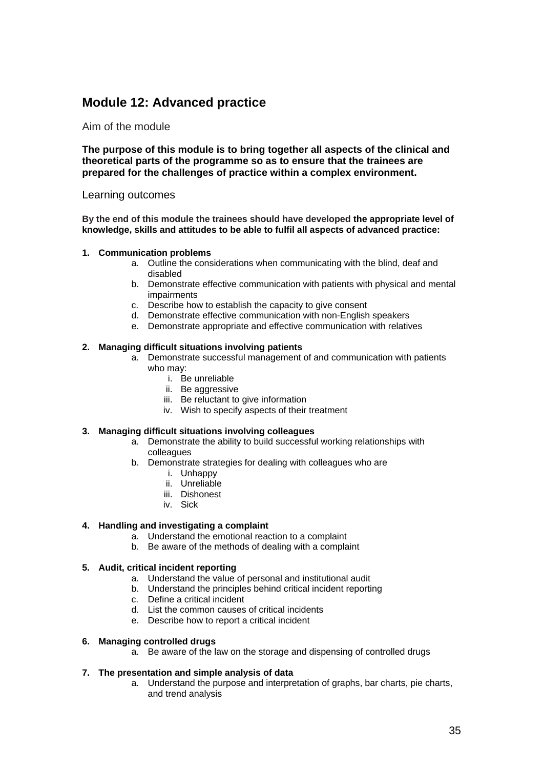# **Module 12: Advanced practice**

#### Aim of the module

**The purpose of this module is to bring together all aspects of the clinical and theoretical parts of the programme so as to ensure that the trainees are prepared for the challenges of practice within a complex environment.** 

#### Learning outcomes

**By the end of this module the trainees should have developed the appropriate level of knowledge, skills and attitudes to be able to fulfil all aspects of advanced practice:**

#### **1. Communication problems**

- a. Outline the considerations when communicating with the blind, deaf and disabled
- b. Demonstrate effective communication with patients with physical and mental impairments
- c. Describe how to establish the capacity to give consent
- d. Demonstrate effective communication with non-English speakers
- e. Demonstrate appropriate and effective communication with relatives

#### **2. Managing difficult situations involving patients**

- a. Demonstrate successful management of and communication with patients who may:
	- i. Be unreliable
	- ii. Be aggressive
	- iii. Be reluctant to give information
	- iv. Wish to specify aspects of their treatment

#### **3. Managing difficult situations involving colleagues**

- a. Demonstrate the ability to build successful working relationships with colleagues
- b. Demonstrate strategies for dealing with colleagues who are
	- i. Unhappy
	- ii. Unreliable
	- iii. Dishonest
	- iv. Sick

#### **4. Handling and investigating a complaint**

- a. Understand the emotional reaction to a complaint
- b. Be aware of the methods of dealing with a complaint

#### **5. Audit, critical incident reporting**

- a. Understand the value of personal and institutional audit
- b. Understand the principles behind critical incident reporting
- c. Define a critical incident
- d. List the common causes of critical incidents
- e. Describe how to report a critical incident

#### **6. Managing controlled drugs**

a. Be aware of the law on the storage and dispensing of controlled drugs

#### **7. The presentation and simple analysis of data**

a. Understand the purpose and interpretation of graphs, bar charts, pie charts, and trend analysis